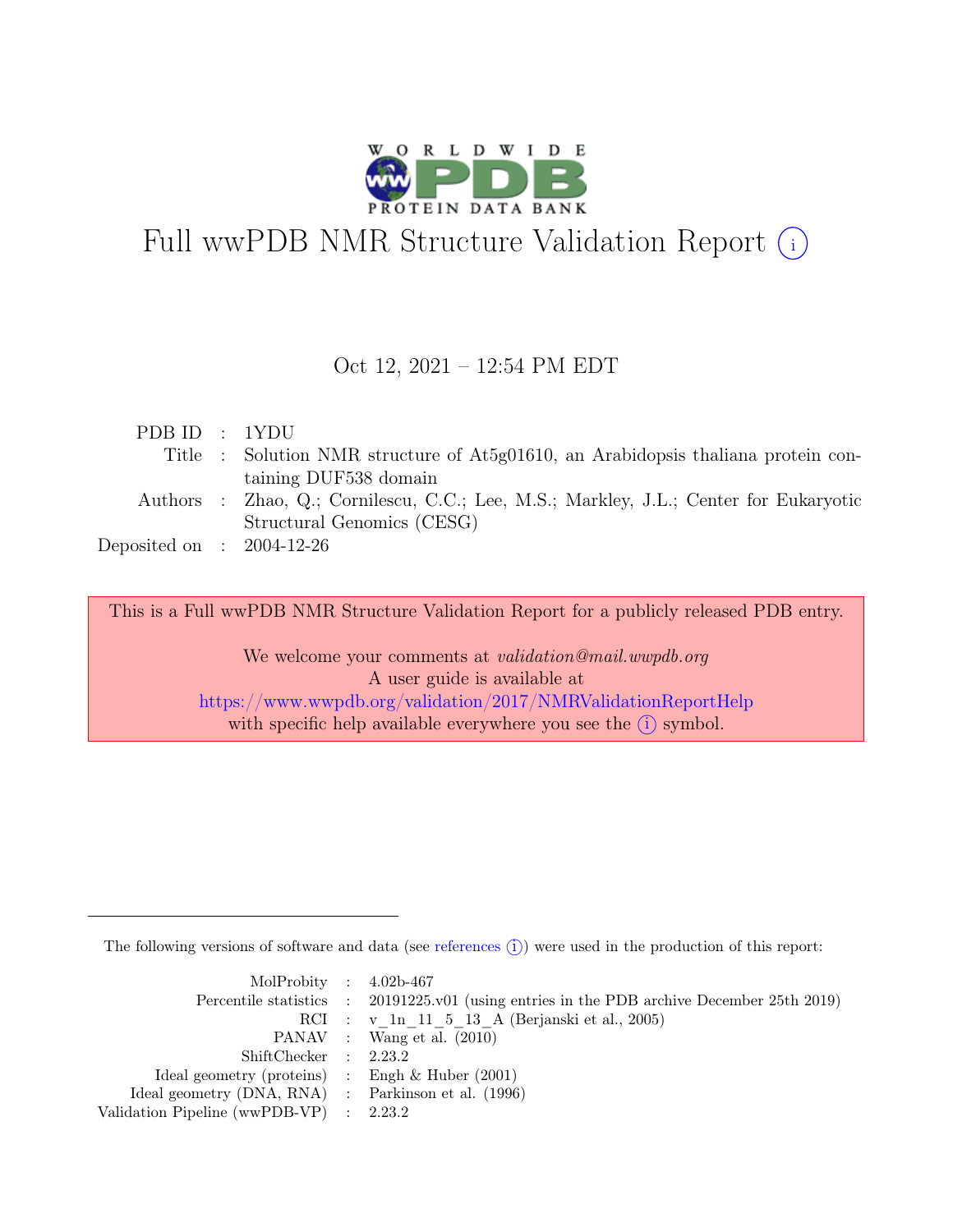

# Full wwPDB NMR Structure Validation Report (i)

#### Oct 12, 2021 – 12:54 PM EDT

| PDBID : 1YDU                |                                                                                       |
|-----------------------------|---------------------------------------------------------------------------------------|
|                             | Title : Solution NMR structure of At5g01610, an Arabidopsis thaliana protein con-     |
|                             | taining DUF538 domain                                                                 |
|                             | Authors : Zhao, Q.; Cornilescu, C.C.; Lee, M.S.; Markley, J.L.; Center for Eukaryotic |
|                             | Structural Genomics (CESG)                                                            |
| Deposited on : $2004-12-26$ |                                                                                       |

This is a Full wwPDB NMR Structure Validation Report for a publicly released PDB entry.

We welcome your comments at *validation@mail.wwpdb.org* A user guide is available at <https://www.wwpdb.org/validation/2017/NMRValidationReportHelp> with specific help available everywhere you see the  $(i)$  symbol.

The following versions of software and data (see [references](https://www.wwpdb.org/validation/2017/NMRValidationReportHelp#references)  $\hat{I}$ ) were used in the production of this report:

| MolProbity : $4.02b-467$                            |                                                                                            |
|-----------------------------------------------------|--------------------------------------------------------------------------------------------|
|                                                     | Percentile statistics : 20191225.v01 (using entries in the PDB archive December 25th 2019) |
|                                                     | RCI : v 1n 11 5 13 A (Berjanski et al., 2005)                                              |
|                                                     | PANAV : Wang et al. (2010)                                                                 |
| ShiftChecker : 2.23.2                               |                                                                                            |
| Ideal geometry (proteins) : Engh $\&$ Huber (2001)  |                                                                                            |
| Ideal geometry (DNA, RNA) : Parkinson et al. (1996) |                                                                                            |
| Validation Pipeline (wwPDB-VP) : 2.23.2             |                                                                                            |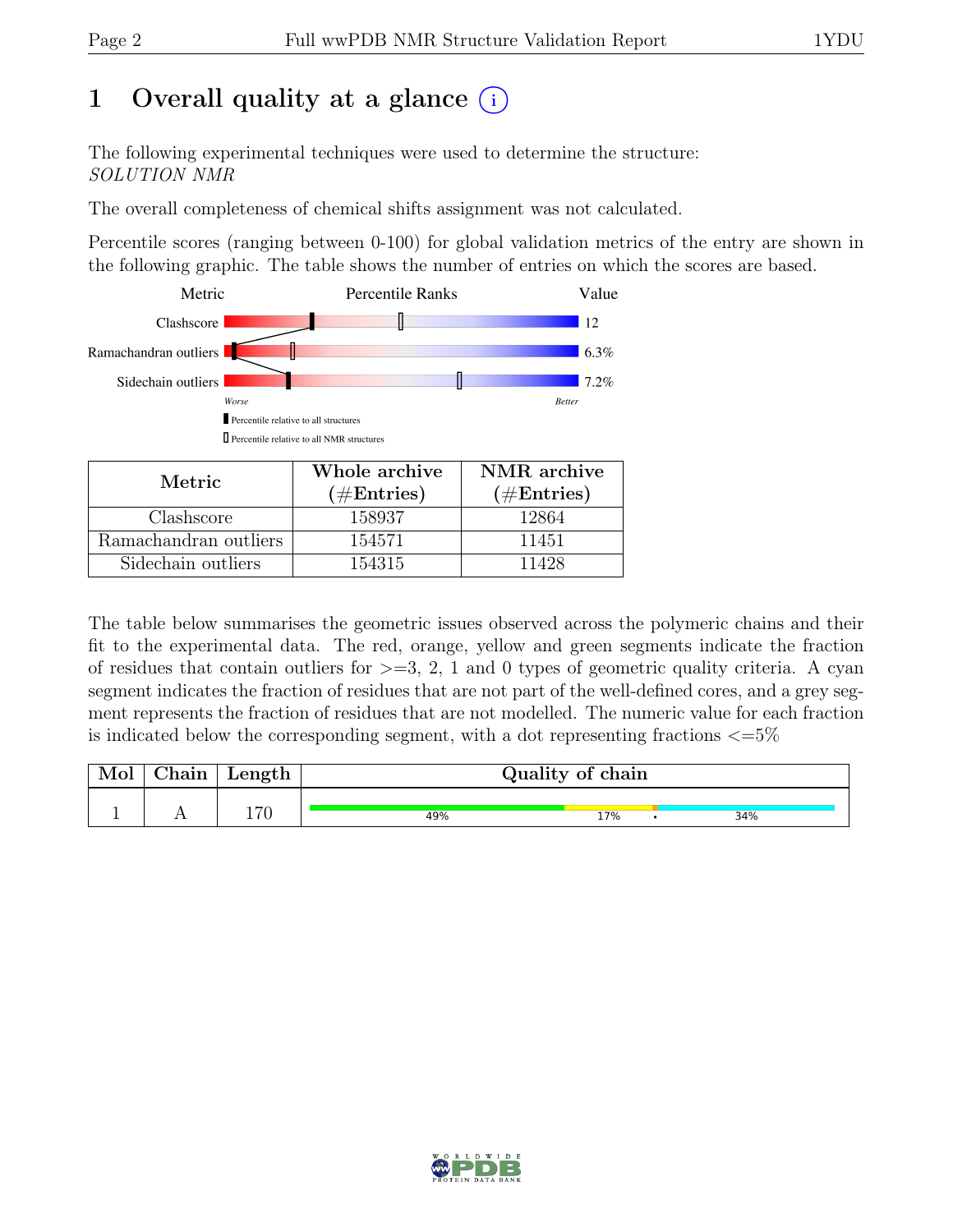# 1 Overall quality at a glance  $(i)$

The following experimental techniques were used to determine the structure: SOLUTION NMR

The overall completeness of chemical shifts assignment was not calculated.

Percentile scores (ranging between 0-100) for global validation metrics of the entry are shown in the following graphic. The table shows the number of entries on which the scores are based.



| Metric.               | Whole archive | NMR archive   |
|-----------------------|---------------|---------------|
|                       | $(\#Entries)$ | $(\#Entries)$ |
| Clashscore            | 158937        | 12864         |
| Ramachandran outliers | 154571        | 11451         |
| Sidechain outliers    | 154315        | 11428         |

The table below summarises the geometric issues observed across the polymeric chains and their fit to the experimental data. The red, orange, yellow and green segments indicate the fraction of residues that contain outliers for  $>=$  3, 2, 1 and 0 types of geometric quality criteria. A cyan segment indicates the fraction of residues that are not part of the well-defined cores, and a grey segment represents the fraction of residues that are not modelled. The numeric value for each fraction is indicated below the corresponding segment, with a dot representing fractions  $\langle=5\%$ 

| Mol | ${\rm Chain}$ | $\mathbf{Length}$ |     | Quality of chain |     |
|-----|---------------|-------------------|-----|------------------|-----|
|     |               | 170               | 49% | 17%              | 34% |

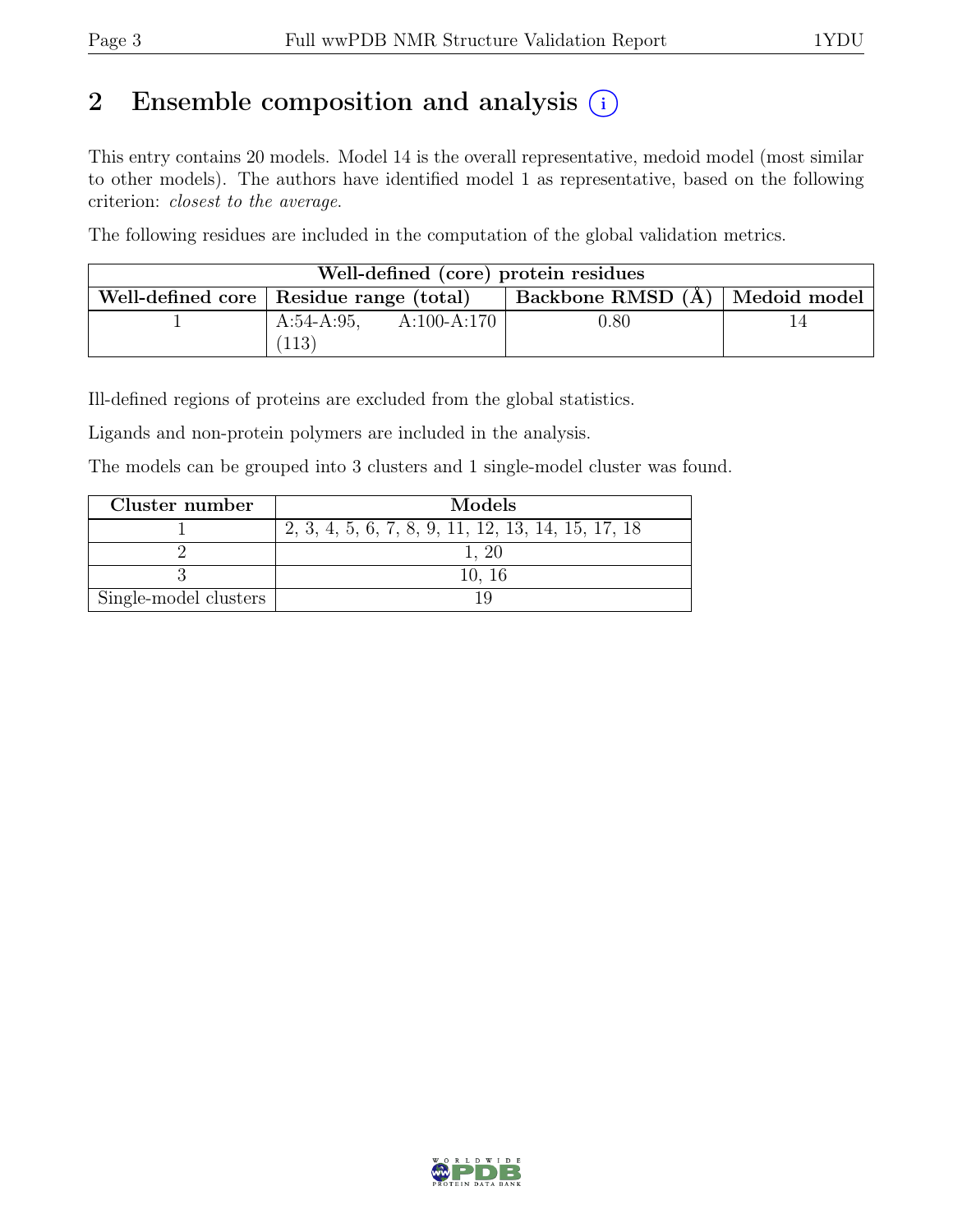# 2 Ensemble composition and analysis  $(i)$

This entry contains 20 models. Model 14 is the overall representative, medoid model (most similar to other models). The authors have identified model 1 as representative, based on the following criterion: closest to the average.

The following residues are included in the computation of the global validation metrics.

|                                           |                         |             | Well-defined (core) protein residues |  |
|-------------------------------------------|-------------------------|-------------|--------------------------------------|--|
| Well-defined core   Residue range (total) |                         |             | Backbone RMSD $(A)$   Medoid model   |  |
|                                           | $A:54-A:95$ ,           | A:100-A:170 | $0.80\,$                             |  |
|                                           | $^{\prime}113^{\prime}$ |             |                                      |  |

Ill-defined regions of proteins are excluded from the global statistics.

Ligands and non-protein polymers are included in the analysis.

The models can be grouped into 3 clusters and 1 single-model cluster was found.

| Cluster number        | Models                                             |
|-----------------------|----------------------------------------------------|
|                       | 2, 3, 4, 5, 6, 7, 8, 9, 11, 12, 13, 14, 15, 17, 18 |
|                       |                                                    |
|                       | 10, 16                                             |
| Single-model clusters |                                                    |

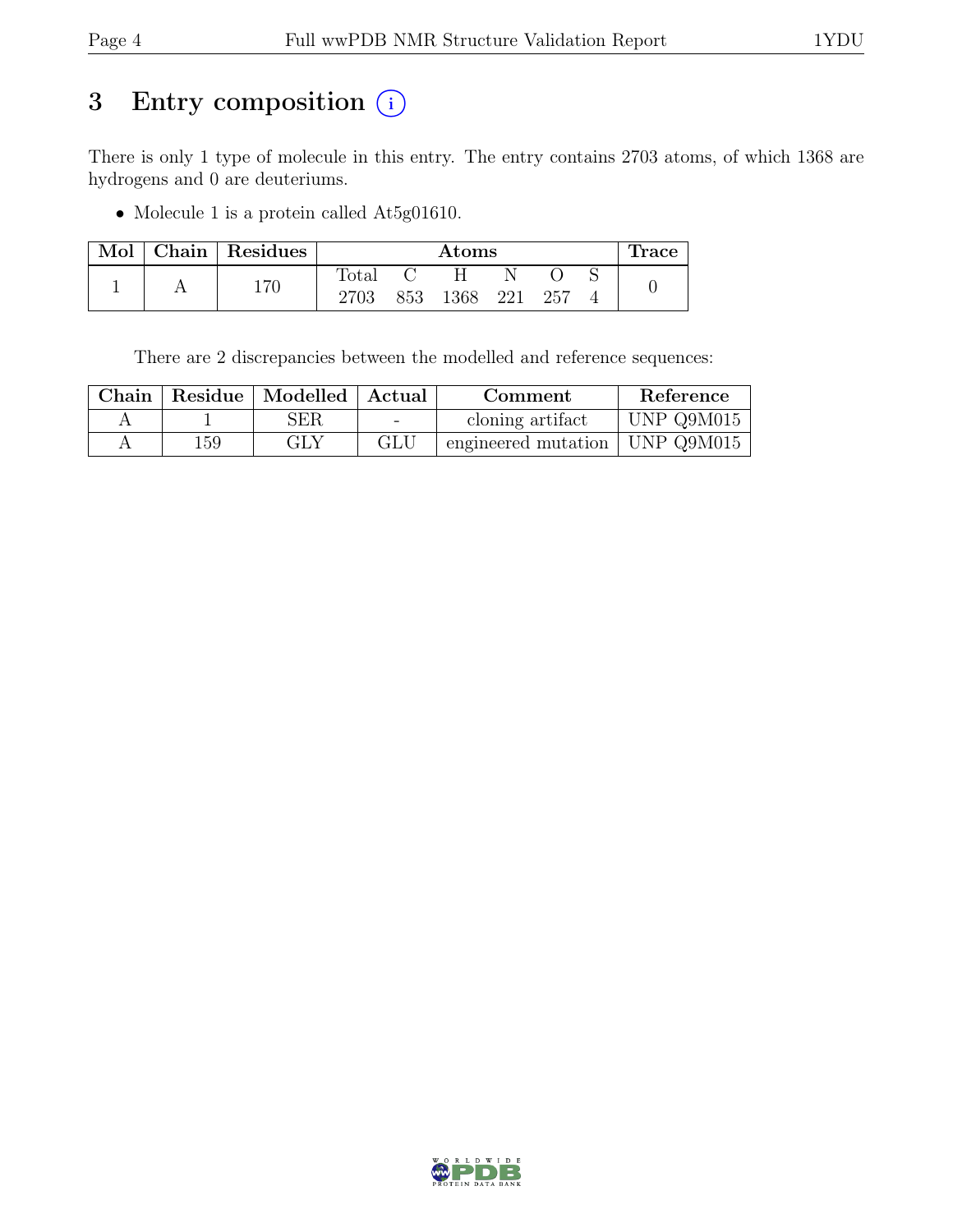# 3 Entry composition  $(i)$

There is only 1 type of molecule in this entry. The entry contains 2703 atoms, of which 1368 are hydrogens and 0 are deuteriums.

• Molecule 1 is a protein called At5g01610.

| Mol | Chain Residues |                |     | Atoms |     |     | $\pm$ race |
|-----|----------------|----------------|-----|-------|-----|-----|------------|
|     | 170            | $_{\rm Total}$ |     |       |     |     |            |
|     |                | 2703           | 853 | 1368  | 221 | 257 |            |

There are 2 discrepancies between the modelled and reference sequences:

| Chain |     | Residue   Modelled   Actual |        | Comment                            | Reference  |
|-------|-----|-----------------------------|--------|------------------------------------|------------|
|       |     | ${\rm SER}$                 | $\sim$ | cloning artifact                   | UNP Q9M015 |
|       | 159 | GLY                         | GLU    | engineered mutation   UNP $Q9M015$ |            |

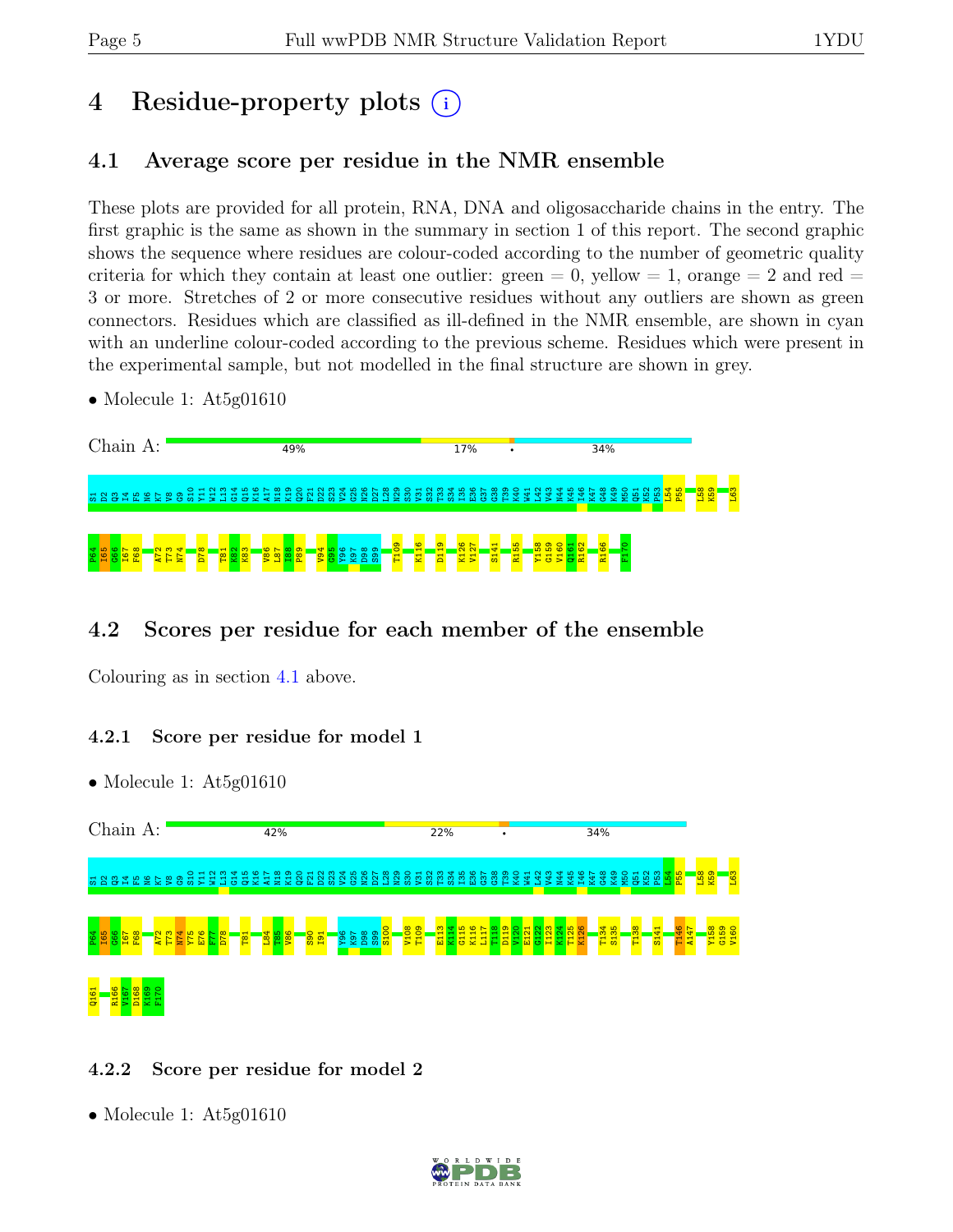# 4 Residue-property plots (i)

# <span id="page-4-0"></span>4.1 Average score per residue in the NMR ensemble

These plots are provided for all protein, RNA, DNA and oligosaccharide chains in the entry. The first graphic is the same as shown in the summary in section 1 of this report. The second graphic shows the sequence where residues are colour-coded according to the number of geometric quality criteria for which they contain at least one outlier:  $green = 0$ ,  $yellow = 1$ ,  $orange = 2$  and  $red =$ 3 or more. Stretches of 2 or more consecutive residues without any outliers are shown as green connectors. Residues which are classified as ill-defined in the NMR ensemble, are shown in cyan with an underline colour-coded according to the previous scheme. Residues which were present in the experimental sample, but not modelled in the final structure are shown in grey.

• Molecule 1: At5g01610

| Chain |  |  |  | A: |  |  |          |              |  |  |  | 49% |  |  |  |  |  |         |                          |  |   | 17% |  | ٠       |   |            |  |  | 34% |  |                            |   |     |  |    |                   |  |
|-------|--|--|--|----|--|--|----------|--------------|--|--|--|-----|--|--|--|--|--|---------|--------------------------|--|---|-----|--|---------|---|------------|--|--|-----|--|----------------------------|---|-----|--|----|-------------------|--|
|       |  |  |  |    |  |  |          |              |  |  |  |     |  |  |  |  |  |         |                          |  |   |     |  | ុន ខ្លួ | 還 |            |  |  |     |  | $\times$ $\times$ $\alpha$ | × | . പ |  | ထ္ | െ<br>$\mathbf{x}$ |  |
|       |  |  |  |    |  |  | $\infty$ | $\mathbf{H}$ |  |  |  |     |  |  |  |  |  | $\circ$ | $\overline{\phantom{a}}$ |  | ⊣ |     |  |         |   | <b>PER</b> |  |  |     |  |                            |   |     |  |    |                   |  |

# 4.2 Scores per residue for each member of the ensemble

Colouring as in section [4.1](#page-4-0) above.

#### 4.2.1 Score per residue for model 1

• Molecule 1: At5g01610



## 4.2.2 Score per residue for model 2

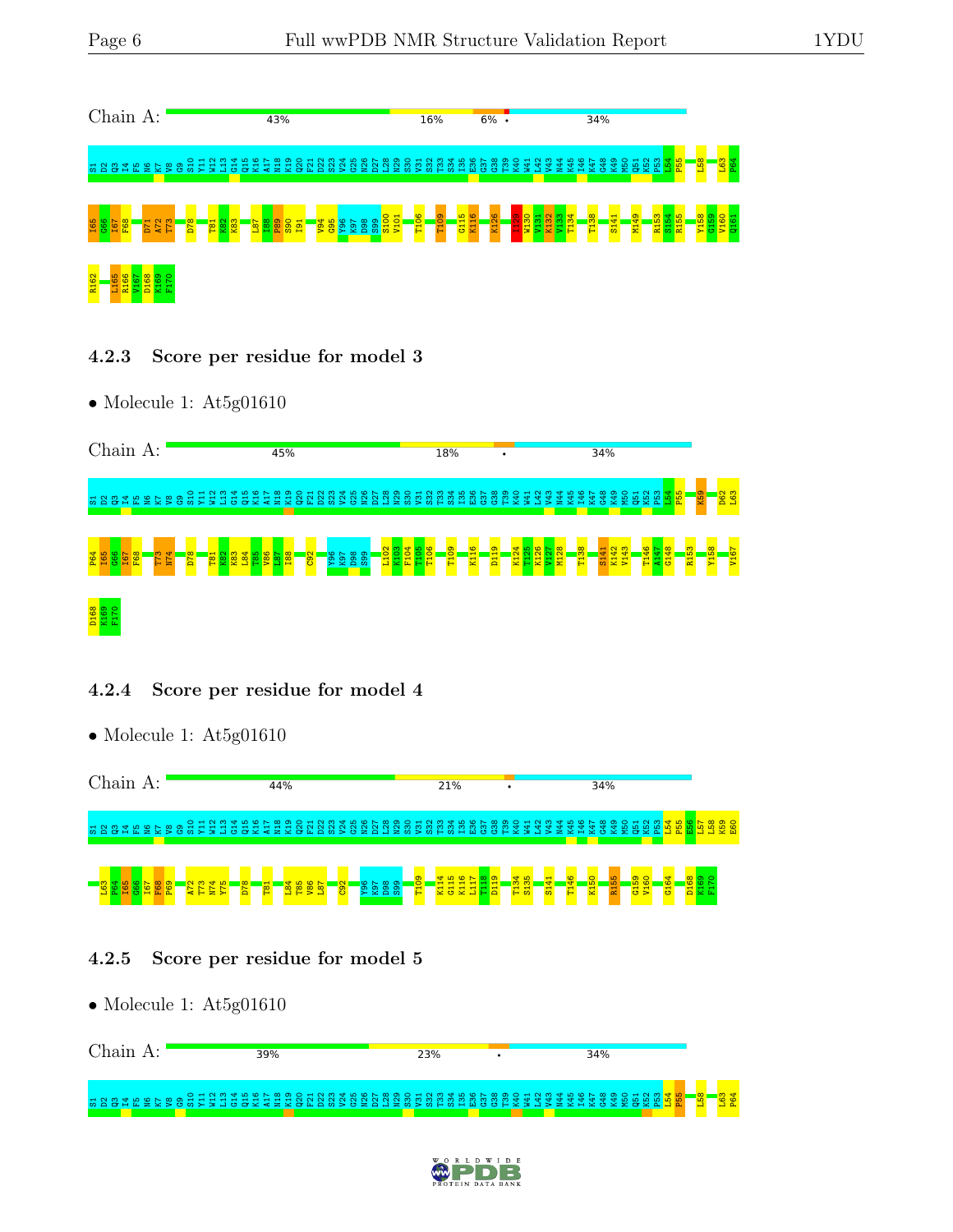

- 4.2.3 Score per residue for model 3
- Molecule 1: At5g01610

| Chain<br>A:                            |                                                                                                        | 45%                                                                                                                                                             | 18%                                                                                                         | ٠                                                              | 34%                                                                                                                                            |                                          |
|----------------------------------------|--------------------------------------------------------------------------------------------------------|-----------------------------------------------------------------------------------------------------------------------------------------------------------------|-------------------------------------------------------------------------------------------------------------|----------------------------------------------------------------|------------------------------------------------------------------------------------------------------------------------------------------------|------------------------------------------|
| <u> 짧 음</u><br>- 13 옵<br>≌<br>岊        | $O + N$<br>₩<br>႙ႜ<br>로<br>ā.<br>- 중 로<br>불<br>s<br>ö<br><b>TO</b><br>r.                               | <b>CO</b><br>œ<br>ക<br>₩<br>알<br>품<br>큹<br>æ<br>ы.<br>$\overline{\phantom{1}}$<br>5<br>ت<br>$\overline{r}$<br><b>CS</b><br>$\overline{\phantom{1}}$<br>$\sigma$ | ဖ<br>∞<br>◠<br>$\sim$<br>ന<br>ഥ<br>₩<br>~<br>畠<br>g<br>8<br>8<br>鲁<br>æ<br>n<br>τń<br>5                     | ക<br>⌒<br>$\sim$<br>₩<br>恩<br>Ë<br>컕<br>×.<br>舀<br>롢<br>g<br>할 | 40<br>ന<br><b>PS</b><br>햧<br>æ<br>呂<br>₹<br>ழ                                                                                                  | <mark>ិនន</mark><br>ு<br>9               |
| P64<br>185<br>885<br>167<br><b>POS</b> | N <sub>74</sub><br><b>BESEX</b><br>စ္တ<br><b>K83</b><br>T <sub>73</sub><br>T81<br>K <sub>82</sub><br>δ | S <sub>99</sub><br><b>ROZ</b><br><b>C92</b><br>8<br>S.                                                                                                          | T <sub>106</sub><br>Lio <mark>3</mark><br>K103<br>F105<br>F105<br>$\circ$<br>K <sub>11</sub><br>−<br>뵵<br>Ξ | $\frac{8}{2}$<br>T <sub>138</sub><br>불불<br>륯<br>불<br>F         | T <sub>146</sub><br>œ<br>$\mathbf{\alpha}$<br>G <sub>148</sub><br>R <sub>153</sub><br>ᅱ<br>47<br>K14:<br>V14:<br>₩<br>보<br>$\overline{\omega}$ | $\infty$<br><b>Y<sub>15</sub></b><br>V16 |
| D168<br><b>e</b><br>븇<br>료             |                                                                                                        |                                                                                                                                                                 |                                                                                                             |                                                                |                                                                                                                                                |                                          |

#### 4.2.4 Score per residue for model 4

• Molecule 1: At5g01610



#### 4.2.5 Score per residue for model 5

| Chain | 39%                                                                                                                                                                                                                         | 23% | 34% |  |
|-------|-----------------------------------------------------------------------------------------------------------------------------------------------------------------------------------------------------------------------------|-----|-----|--|
|       | ישק האסצא האירא אלא אירא האסטור האירא האסטור האירא האירא האסטור האסטור האסטור האסטור האסטור האסטור היה האסטור<br>האסטור האסטור האסטור האסטור האסטור האסטור האסטור האסטור האסטור האסטור האסטור האסטור האסטור האסטור האסטור ה |     |     |  |

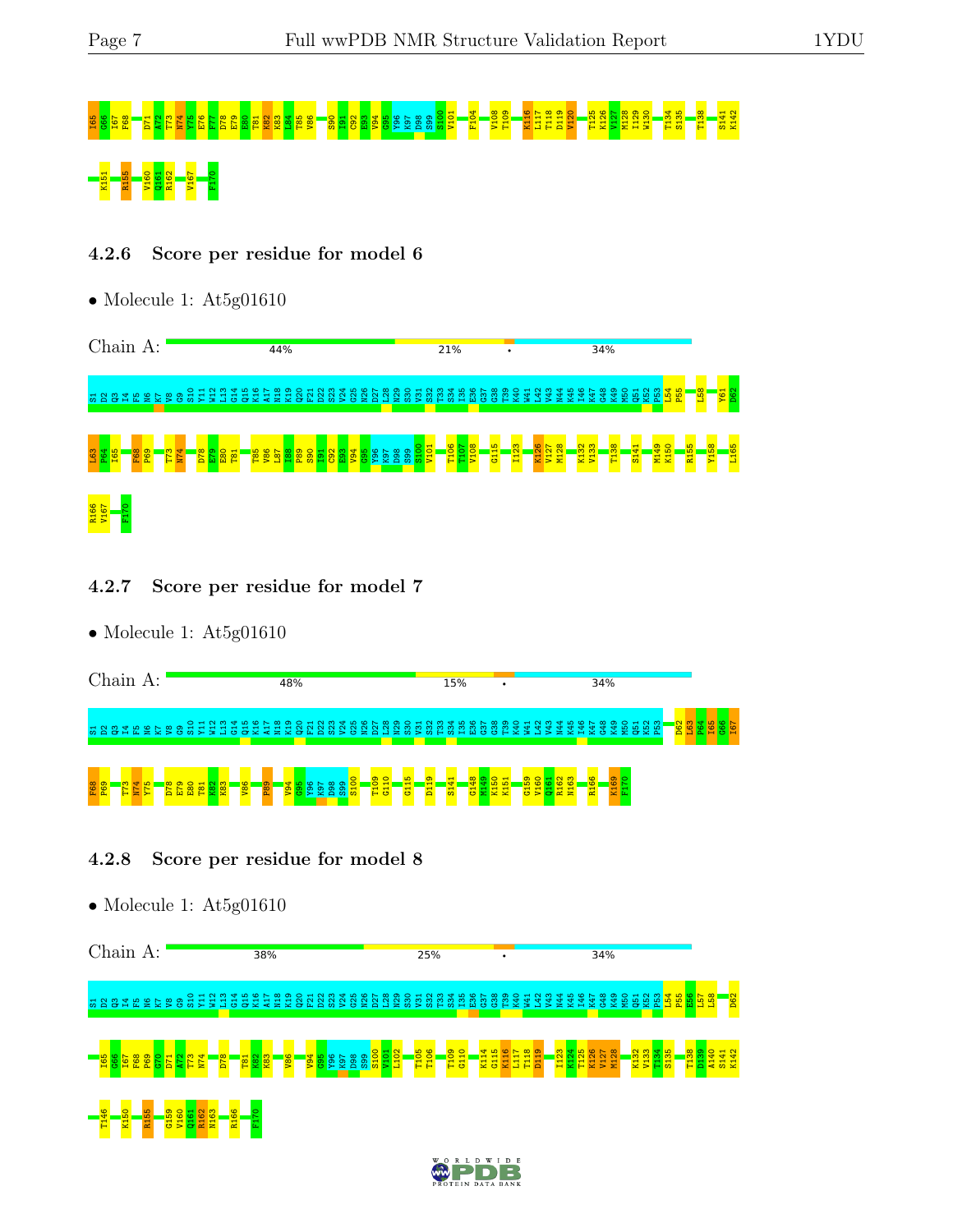# 06 G66 T072 T73 N74 YR5 E76 G86 E80 E80 E80 E98 C92 T07 E98 L92 L92 L92 L92 L92 L92 L92 E93 V94 G95 Y96 L92 L1<br>B109 S100 T109 X10 E104 K126 K126 K126 W130 T126 K126 S136 S141 K127 M128 I120 T134 S134 S135 T138 T138 T138 T K151 R155 V160 Q161 R162 V167 F170

#### 4.2.6 Score per residue for model 6

• Molecule 1: At5g01610



- 4.2.7 Score per residue for model 7
- Molecule 1: At5g01610

| Chain |   |        |        | A: |   |   |  |               |                            | 48% |                           |             |                   |        |             |         |               |                                      |                   |                        |                                                                  |                      | 15% |        |   | ٠               |                 |             |                  |   |                         |   |     | 34%      |   |         |                |                                |                          |  |  |
|-------|---|--------|--------|----|---|---|--|---------------|----------------------------|-----|---------------------------|-------------|-------------------|--------|-------------|---------|---------------|--------------------------------------|-------------------|------------------------|------------------------------------------------------------------|----------------------|-----|--------|---|-----------------|-----------------|-------------|------------------|---|-------------------------|---|-----|----------|---|---------|----------------|--------------------------------|--------------------------|--|--|
|       |   |        |        |    |   |   |  |               | O H N M H N Q N Q          |     | $\overline{ }$<br>$\circ$ | $\sim$<br>ä | <u>ന്</u><br>-čò  | ₩<br>5 | - 10<br>-65 | ິດ<br>≋ | ∼<br><b>X</b> | ന<br>ت                               | ക<br>$\circ$<br>æ | $\overline{ }$<br>-೫ ೮ |                                                                  | <b>NM</b><br>- 22 23 | — ഹ |        |   |                 | <b>ESSESSES</b> |             | $\sim$<br>₩<br>ъ | ന | ₩<br>ഥ<br><b>불화 죽 보</b> | ൦ | 로 로 | $\infty$ | െ | $\circ$ | $\overline{ }$ | N <sub>m</sub><br>- 第165 帝 第16 | $\sim$<br>8 <sup>o</sup> |  |  |
| F68   | o | ത<br>Ē | ₩<br>z |    | œ | Ĥ |  | $\frac{8}{6}$ | <b>O</b><br>$\infty$<br>o. |     |                           | ക<br>ന      | $\simeq$ $\Omega$ | ሔ      |             |         | ക<br>E.       | $\circ$<br>↽<br>$\mathbf{\tau}$<br>ಲ | ⊣                 | ö                      | $\mathbf{\mathbf{H}}$<br>$\mathbf -$<br>$\overline{\phantom{a}}$ |                      | 흙   | ÷<br>퓽 | 0 | K <sub>15</sub> |                 | െ<br>Ю<br>륭 | ь                |   | E<br>œ                  |   | œ   |          |   |         |                |                                |                          |  |  |

#### 4.2.8 Score per residue for model 8



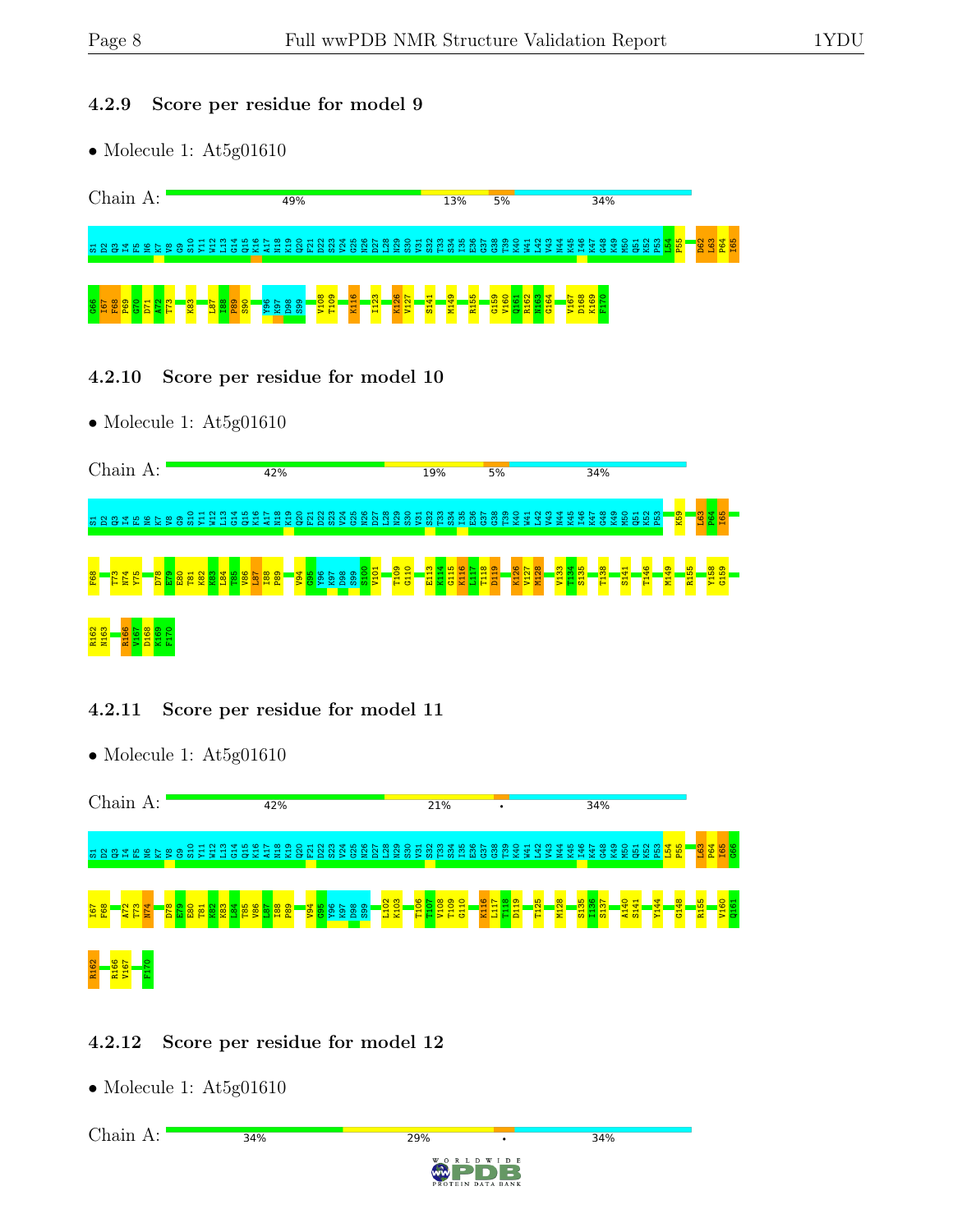#### 4.2.9 Score per residue for model 9

• Molecule 1: At5g01610



4.2.10 Score per residue for model 10

• Molecule 1: At5g01610



#### 4.2.11 Score per residue for model 11



## 4.2.12 Score per residue for model 12

34%

• Molecule 1: At5g01610

Chain A:

29%

34%

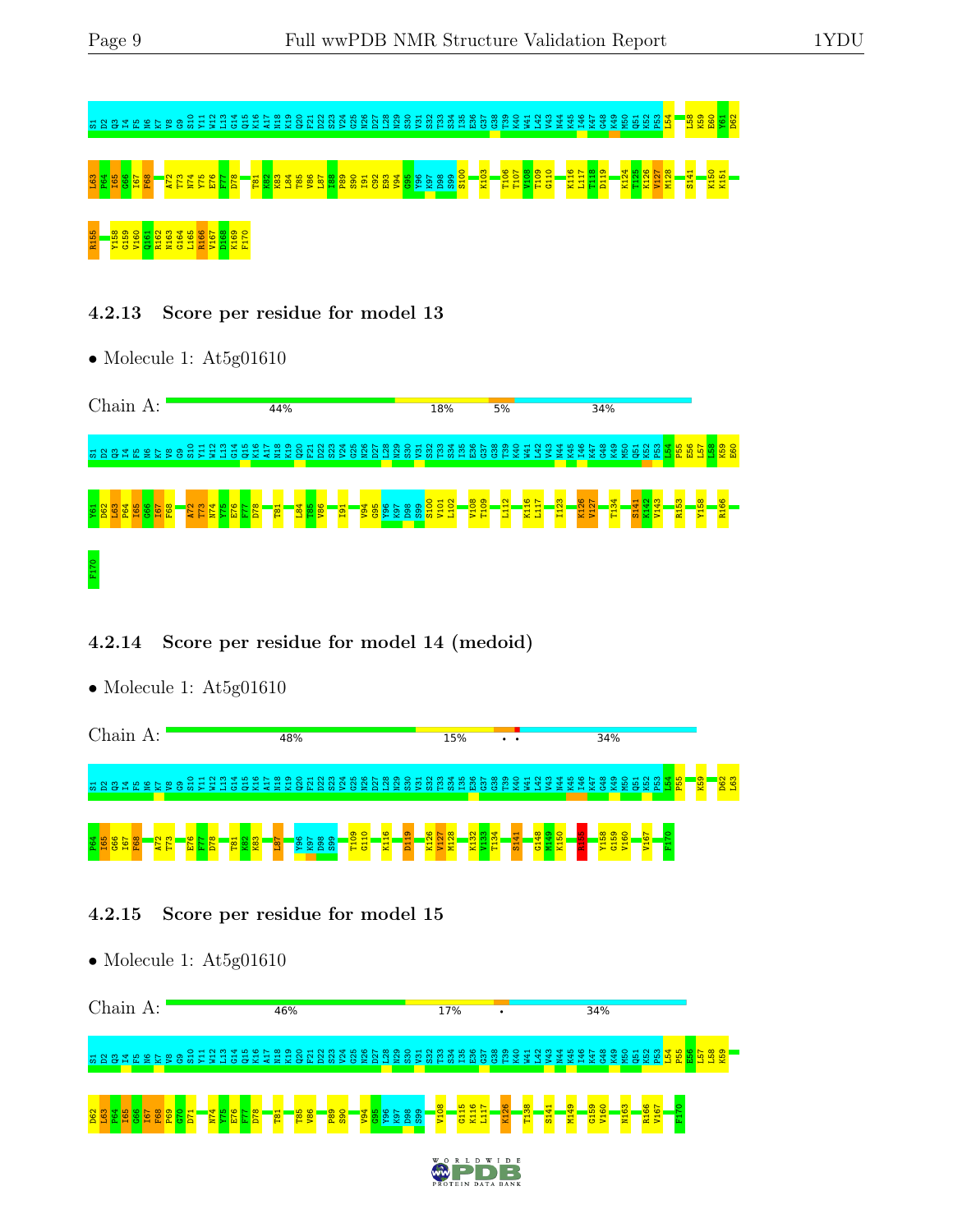

4.2.13 Score per residue for model 13

• Molecule 1: At5g01610



## 4.2.14 Score per residue for model 14 (medoid)

• Molecule 1: At5g01610

| Chain       |  |   | A: |                                     |   |          |   |  |   | 48% |                      |                                   |  |                      |                                    |                |        |   |    |   | 15% |  | $\bullet\quad\bullet$ |         |   |           |     |   | 34% |              |                   |                  |        |     |        |               |               |  |
|-------------|--|---|----|-------------------------------------|---|----------|---|--|---|-----|----------------------|-----------------------------------|--|----------------------|------------------------------------|----------------|--------|---|----|---|-----|--|-----------------------|---------|---|-----------|-----|---|-----|--------------|-------------------|------------------|--------|-----|--------|---------------|---------------|--|
| <u> 짧 음</u> |  |   |    |                                     |   |          |   |  |   |     |                      |                                   |  |                      |                                    |                |        |   |    |   |     |  |                       | 33<br>د | з | - ≂#<br>울 | ဖေဖ | ന | ക   | $\circ$<br>₩ | $\mathbf{H}$<br>ă | $\sim$<br>$\sim$ | ന<br>ă |     | $H$ 10 | ு<br><b>e</b> | $\frac{1}{2}$ |  |
| ă           |  | Œ |    | $\mathbf{\alpha}$ $\mathbf{\omega}$ | ю | $\infty$ | − |  | œ |     | $\circ$ $\sim$<br>옾. | $\infty$ $\infty$<br><u>පි සි</u> |  | $\overline{8}$<br>日日 | $\circ$<br>$\overline{\mathbf{t}}$ | $\overline{ }$ | 는<br>Ξ | 8 | 불물 | 륳 |     |  | 풊                     | 퓽       | ż |           |     |   | 8   | 755          |                   | 롸                |        | Ex. |        |               |               |  |

## 4.2.15 Score per residue for model 15

• Molecule 1: At5g01610 Chain A: 46% **17%** 34%  $\frac{8}{10}$ Y11 W12  $\mathbf{u}$  $^{614}$ Q15 K16 A17 N18 K19  $\rm \frac{2}{9}$  $\tilde{\mathrm{E}}$ D22  $\mathbb{S}^3$ V24 G25 N26 D27 L28 N29  $\frac{8}{3}$  $\overline{\mathbf{E}}$  $\frac{2}{3}$ r33<br>1 S34 I35  $_{\rm E}^{\rm so}$  $\frac{57}{2}$ G38 T39  $\overline{1}$ W41 L42 V43 N44 K45 I46  $K47$ G48 K49 M50 51<br>B K52  $\frac{2}{5}$ L54 P55  $\frac{6}{10}$  $\frac{157}{2}$  $\frac{8}{15}$ K59 s<br>S<br>B<br>C V8 G9 V108 G115 K116 L117 K126 T138 S141 M149 G159 V160 N163 R166 V167 F170 $\frac{2}{2}$ L63  $\frac{1}{2}$ I65  $\frac{66}{6}$ I67 F68 P69  $\frac{1}{5}$ D71  $\frac{N}{4}$ Y75 E76 F77 D78 T81 T85  $\frac{86}{2}$ P89  $\frac{8}{2}$  $\frac{180}{12}$ 읣 Y96 K97 D98  $\frac{9}{2}$ D<sub>F</sub> B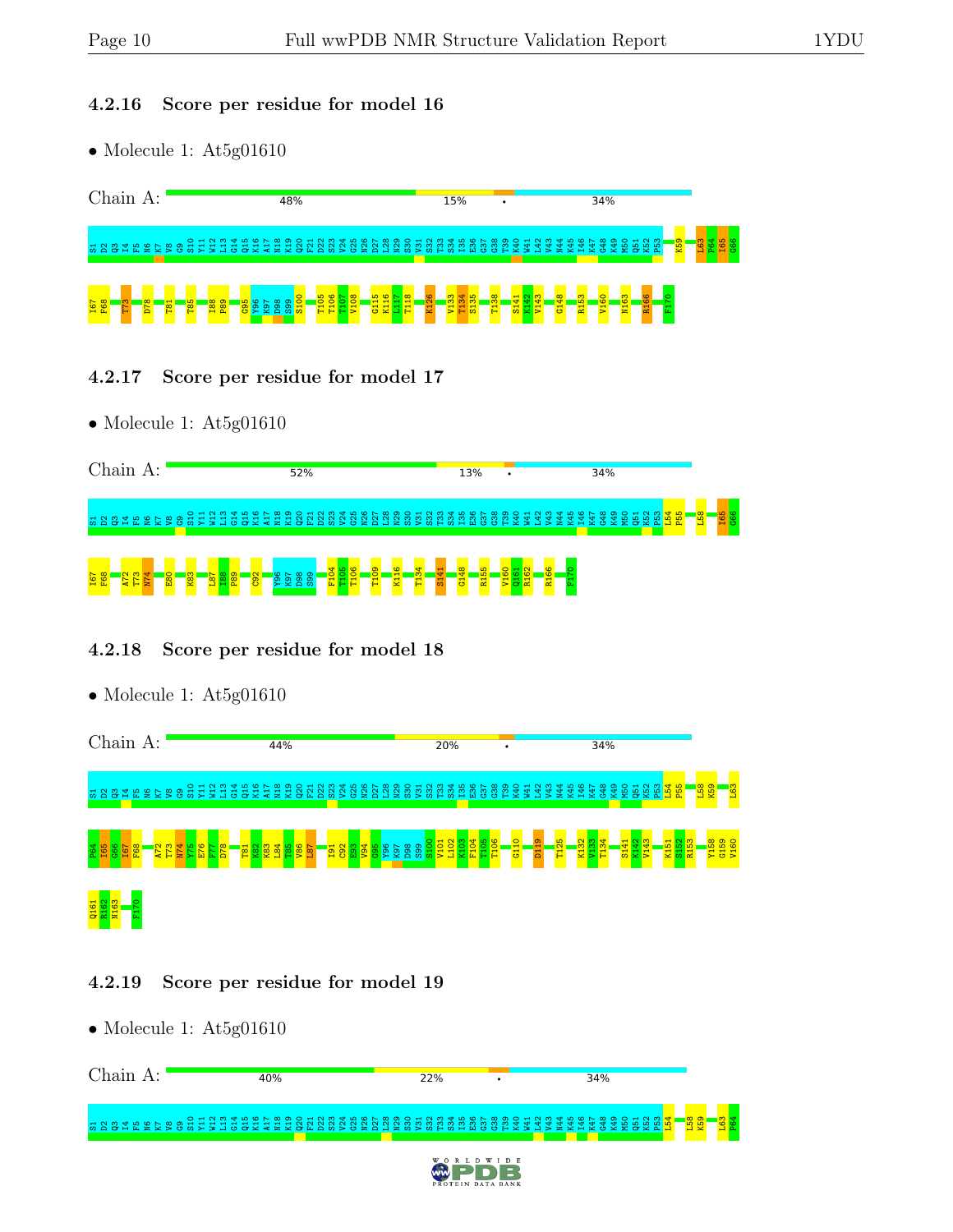#### 4.2.16 Score per residue for model 16

• Molecule 1: At5g01610



- 4.2.17 Score per residue for model 17
- Molecule 1: At5g01610

| Chain                                           |  | A: |  |  |  |  |  | 52% |  |  |  |  |  |                               | 13% |    | $\bullet$ |  |  |  | 34%  |    |             |  |  |  |  |
|-------------------------------------------------|--|----|--|--|--|--|--|-----|--|--|--|--|--|-------------------------------|-----|----|-----------|--|--|--|------|----|-------------|--|--|--|--|
| h g g g y p g h g g g g g g g g g g g g g g g g |  |    |  |  |  |  |  |     |  |  |  |  |  | ន្ត្រីមានស្តុន្ត្រី និងមានមាន |     | ႜႜ | $\sim$    |  |  |  | 54 T | ×. | <b>ZOXA</b> |  |  |  |  |
| <b>T6</b>                                       |  |    |  |  |  |  |  |     |  |  |  |  |  | ₩<br>퓽                        |     | ю  |           |  |  |  |      |    |             |  |  |  |  |

#### 4.2.18 Score per residue for model 18



#### 4.2.19 Score per residue for model 19

| Chain<br>А : | 40% | 22%                                    |                                | 34%                             |             |
|--------------|-----|----------------------------------------|--------------------------------|---------------------------------|-------------|
|              |     |                                        | ಞ<br>쁰<br>- 41<br>- 68<br>- 68 | ÷<br><b>MERMAJ</b><br>. See 175 | းထား<br>별 호 |
|              |     | <b>WORLD</b><br>w<br>PROTEIN DATA BANK | D R                            |                                 |             |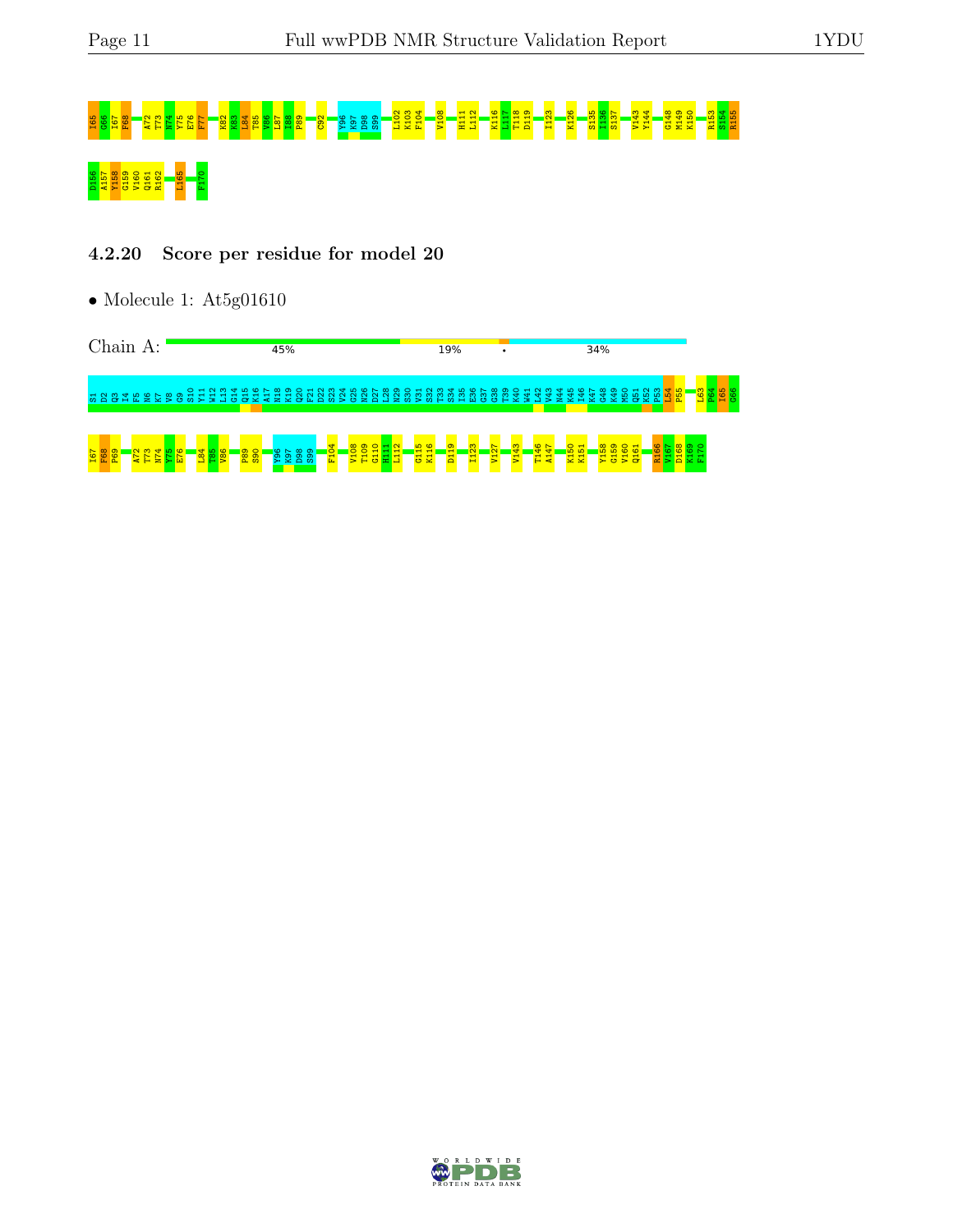# IS S68 E76 A72 T075 E76 A72 T73 N74 YO 76 K92 K92 K92 K92 K92 L112 E76 L112 E103 E103 E103 F104 L112 K103 F10<br>B104 F112 F124 E103 K126 B126 B126 S137 V143 K126 S144 B140 R154 R155 E1124 B144 G148 M149 K150 R155 S154 R155 D156 A157 Y158 G159 V160 Q161 R162 L165 F170

#### 4.2.20 Score per residue for model 20



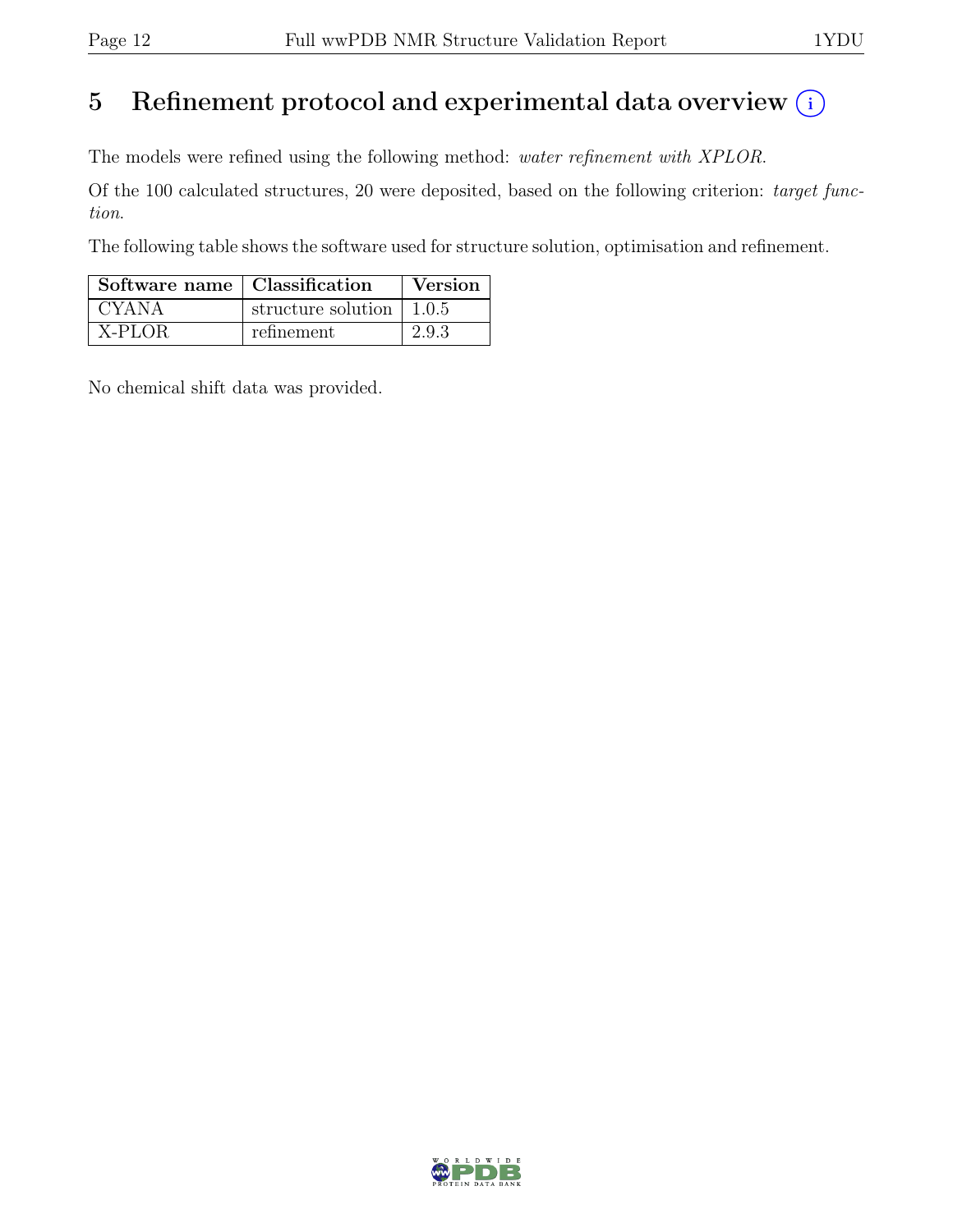# 5 Refinement protocol and experimental data overview  $(i)$

The models were refined using the following method: water refinement with XPLOR.

Of the 100 calculated structures, 20 were deposited, based on the following criterion: target function.

The following table shows the software used for structure solution, optimisation and refinement.

| Software name   Classification |                                          | Version |
|--------------------------------|------------------------------------------|---------|
| CYANA                          | structure solution $\vert 1.0.5 \rangle$ |         |
| X-PLOR                         | refinement                               | 2.9.3   |

No chemical shift data was provided.

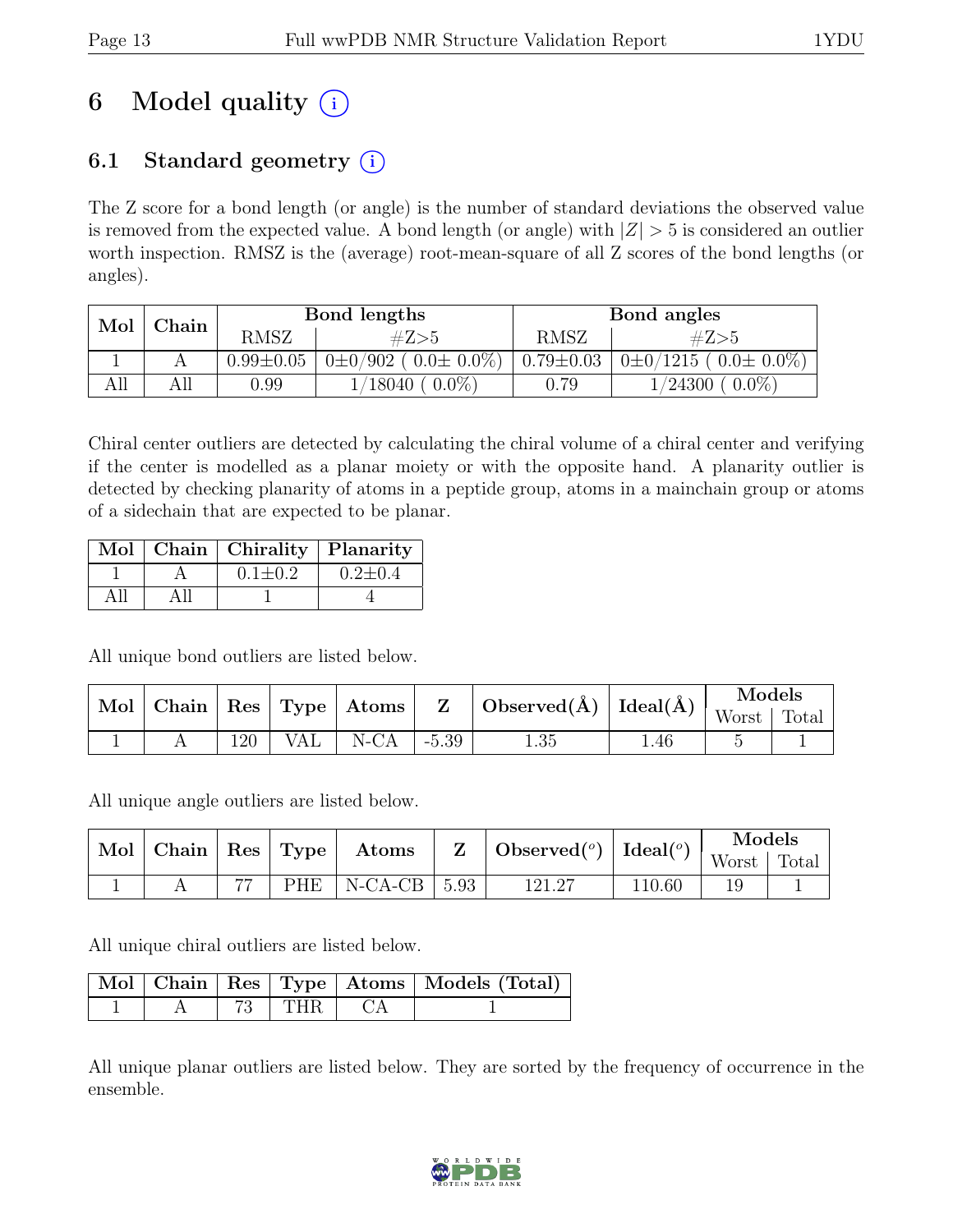# 6 Model quality  $(i)$

# 6.1 Standard geometry  $(i)$

The Z score for a bond length (or angle) is the number of standard deviations the observed value is removed from the expected value. A bond length (or angle) with  $|Z| > 5$  is considered an outlier worth inspection. RMSZ is the (average) root-mean-square of all Z scores of the bond lengths (or angles).

| Mol | $\mathbb{C}\mathbf{h}$ ain |                 | Bond lengths                  |                 | Bond angles                      |
|-----|----------------------------|-----------------|-------------------------------|-----------------|----------------------------------|
|     |                            | RMSZ            | #Z>5                          | <b>RMSZ</b>     | #Z>5                             |
|     |                            | $0.99 \pm 0.05$ | $0\pm0/902$ ( $0.0\pm0.0\%$ ) | $0.79 \pm 0.03$ | $0\pm 0/1215$ ( $0.0\pm 0.0\%$ ) |
| AП  | All                        | $0.99\,$        | $18040 (0.0\%)$               | $0.79\,$        | $0.0\%$<br>$1/24300$ +           |

Chiral center outliers are detected by calculating the chiral volume of a chiral center and verifying if the center is modelled as a planar moiety or with the opposite hand. A planarity outlier is detected by checking planarity of atoms in a peptide group, atoms in a mainchain group or atoms of a sidechain that are expected to be planar.

|  | Mol   Chain   Chirality   Planarity |               |
|--|-------------------------------------|---------------|
|  | $0.1 \pm 0.2$                       | $0.2 \pm 0.4$ |
|  |                                     |               |

All unique bond outliers are listed below.

|  |                  |                                     | $\overline{\text{Mol}\mid \text{Chain}}\mid \text{Res}\mid \text{Type}\mid \text{Atoms}\mid \hspace{0.1cm} \text{Z} \hspace{0.1cm} \mid \text{Observed}(\text{\AA})\mid \text{Ideal}(\text{\AA})\mid \text{Worst}\mid \text{Total} \mid \text{Vtest}$ |      |  |
|--|------------------|-------------------------------------|-------------------------------------------------------------------------------------------------------------------------------------------------------------------------------------------------------------------------------------------------------|------|--|
|  |                  |                                     |                                                                                                                                                                                                                                                       |      |  |
|  | 120 <sub>1</sub> | $\mid$ VAL $\mid$ N-CA $\mid$ -5.39 | 1.35                                                                                                                                                                                                                                                  | 1.46 |  |

All unique angle outliers are listed below.

|  |    |     | Mol   Chain   Res   Type   Atoms |      | $\perp$ Observed( <sup>o</sup> )   Ideal( <sup>o</sup> ) |        | Models  |       |
|--|----|-----|----------------------------------|------|----------------------------------------------------------|--------|---------|-------|
|  |    |     |                                  |      |                                                          |        | Worst + | Total |
|  | 77 | PHE | $N-CA-CB$                        | 5.93 | 121.27                                                   | 110.60 |         |       |

All unique chiral outliers are listed below.

|  |                                               | Mol   Chain   Res   Type   Atoms   Models (Total) |
|--|-----------------------------------------------|---------------------------------------------------|
|  | $\parallel$ 73 $\parallel$ THR $\parallel$ CA |                                                   |

All unique planar outliers are listed below. They are sorted by the frequency of occurrence in the ensemble.

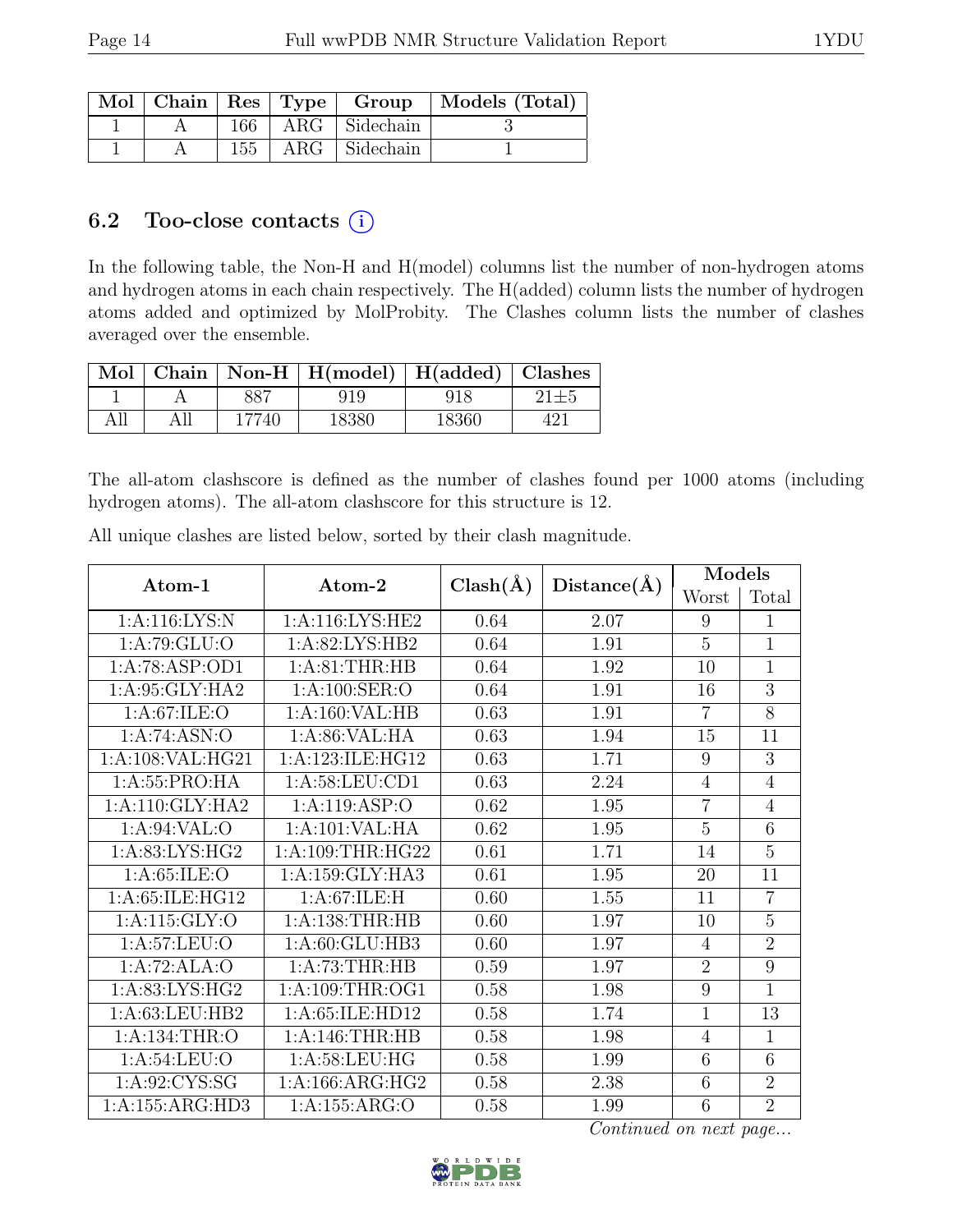|  |  |                         | Mol   Chain   Res   Type   Group   Models (Total) |
|--|--|-------------------------|---------------------------------------------------|
|  |  | $166$   ARG   Sidechain |                                                   |
|  |  | $155$   ARG   Sidechain |                                                   |

# 6.2 Too-close contacts  $(i)$

In the following table, the Non-H and H(model) columns list the number of non-hydrogen atoms and hydrogen atoms in each chain respectively. The H(added) column lists the number of hydrogen atoms added and optimized by MolProbity. The Clashes column lists the number of clashes averaged over the ensemble.

|     |       | Mol   Chain   Non-H   H(model)   H(added)   Clashes |       |  |
|-----|-------|-----------------------------------------------------|-------|--|
|     |       | 91 Q                                                | 918   |  |
| All | 17740 | 18380                                               | 18360 |  |

The all-atom clashscore is defined as the number of clashes found per 1000 atoms (including hydrogen atoms). The all-atom clashscore for this structure is 12.

| Atom-1                         | Atom-2              | $Clash(\AA)$ | Distance(A) | Models           |                |
|--------------------------------|---------------------|--------------|-------------|------------------|----------------|
|                                |                     |              |             | Worst            | Total          |
| 1:A:116:LYS:N                  | 1: A:116: LYS: HE2  | 0.64         | 2.07        | $\boldsymbol{9}$ | 1              |
| 1:A:79:GLU:O                   | 1:A:82:LYS:HB2      | 0.64         | 1.91        | $\overline{5}$   | $\mathbf{1}$   |
| 1:A:78:ASP:OD1                 | 1: A:81:THR:HB      | 0.64         | 1.92        | 10               | $\mathbf{1}$   |
| 1:A:95:GLY:HA2                 | 1: A:100: SER:O     | 0.64         | 1.91        | 16               | $\overline{3}$ |
| 1: A:67: ILE: O                | 1:A:160:VAL:HB      | 0.63         | 1.91        | $\overline{7}$   | 8              |
| 1:A:74:ASN:O                   | 1: A:86: VAL: HA    | 0.63         | 1.94        | 15               | 11             |
| 1:A:108:VAL:HG21               | 1:A:123:ILE:HG12    | 0.63         | 1.71        | 9                | $\overline{3}$ |
| 1: A: 55: PRO: HA              | 1:A:58:LEU:CD1      | 0.63         | 2.24        | $\overline{4}$   | $\overline{4}$ |
| 1: A:110: GLY: HA2             | 1:A:119:ASP:O       | 0.62         | 1.95        | $\overline{7}$   | $\overline{4}$ |
| 1:A:94:VAL:O                   | 1:A:101:VAL:HA      | 0.62         | 1.95        | 5                | 6              |
| 1:A:83:LYS:HG2                 | 1:A:109:THR:HG22    | 0.61         | 1.71        | 14               | $\overline{5}$ |
| 1: A:65: ILE: O                | 1:A:159:GLY:HA3     | 0.61         | 1.95        | 20               | 11             |
| 1:A:65:ILE:HG12                | 1: A:67: ILE:H      | 0.60         | 1.55        | 11               | $\overline{7}$ |
| 1:A:115:GLY:O                  | 1: A: 138: THR: HB  | 0.60         | 1.97        | 10               | $\overline{5}$ |
| 1: A:57: LEU:O                 | 1:A:60:GLU:HB3      | 0.60         | 1.97        | $\overline{4}$   | $\overline{2}$ |
| 1:A:72:ALA:O                   | 1:A:73:THR:HB       | 0.59         | 1.97        | $\overline{2}$   | $\overline{9}$ |
| $1: A:83: LYS: H\overline{G2}$ | 1:A:109:THR:OG1     | 0.58         | 1.98        | 9                | $\overline{1}$ |
| 1:A:63:LEU:HB2                 | 1: A:65: ILE: HD12  | 0.58         | 1.74        | $\overline{1}$   | 13             |
| 1:A:134:THR:O                  | 1:A:146:THR:HB      | 0.58         | 1.98        | 4                | 1              |
| $1: A:54:LEU: \overline{O}$    | 1: A:58:LEU:HG      | 0.58         | 1.99        | 6                | 6              |
| 1: A:92: CYS:SG                | 1: A: 166: ARG: HG2 | 0.58         | 2.38        | 6                | $\overline{2}$ |
| 1:A:155:ARG:HD3                | 1:A:155:ARG:O       | 0.58         | 1.99        | 6                | $\overline{2}$ |

All unique clashes are listed below, sorted by their clash magnitude.

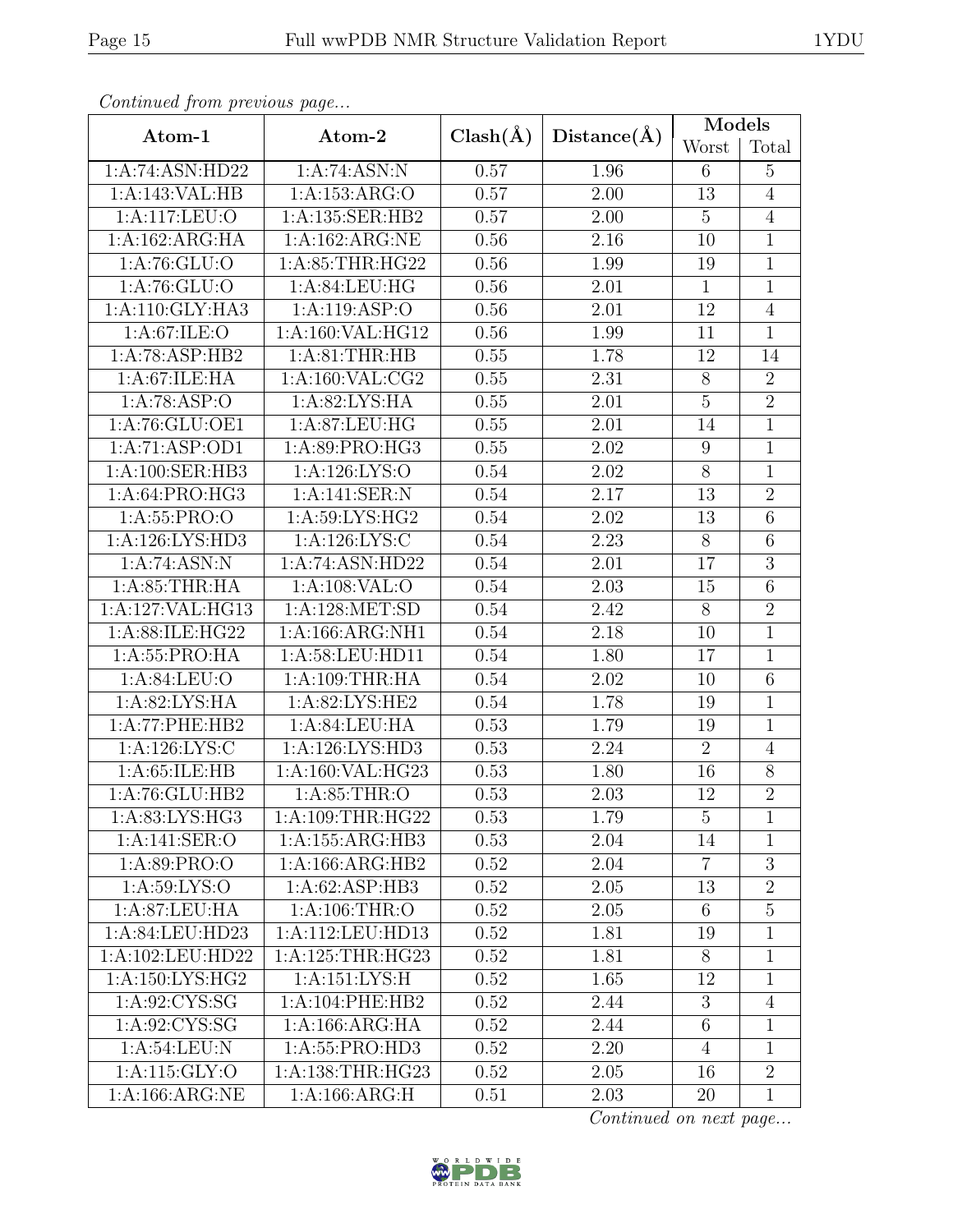|  | ۰. | ×<br>۰. |
|--|----|---------|
|  |    |         |

| Continuea from previous page |                             |              |                   | Models          |                 |
|------------------------------|-----------------------------|--------------|-------------------|-----------------|-----------------|
| $Atom-1$                     | Atom-2                      | $Clash(\AA)$ | Distance(A)       | Worst           | Total           |
| 1:A:74:ASN:HD22              | 1:A:74:ASN:N                | 0.57         | 1.96              | $6\phantom{.}6$ | $\overline{5}$  |
| 1:A:143:VAL:HB               | 1:A:153:ARG:O               | 0.57         | 2.00              | 13              | $\overline{4}$  |
| 1:A:117:LEU:O                | 1:A:135:SER:HB2             | 0.57         | 2.00              | $\overline{5}$  | $\overline{4}$  |
| 1:A:162:ARG:HA               | 1:A:162:ARG:NE              | 0.56         | 2.16              | 10              | $\mathbf{1}$    |
| 1: A:76: GLU:O               | 1: A:85:THR:HG22            | 0.56         | 1.99              | 19              | $\mathbf 1$     |
| 1:A:76:GLU:O                 | 1:A:84:LEU:HG               | 0.56         | 2.01              | $\mathbf{1}$    | $\mathbf{1}$    |
| 1: A:110: GLY:HA3            | 1:A:119:ASP:O               | 0.56         | 2.01              | 12              | $\,4\,$         |
| 1: A:67: ILE: O              | 1:A:160:VAL:HG12            | 0.56         | 1.99              | 11              | $\mathbf{1}$    |
| 1:A:78:ASP:HB2               | 1: A:81:THR:HB              | 0.55         | 1.78              | 12              | 14              |
| 1: A:67: ILE: HA             | 1:A:160:VAL:CG2             | 0.55         | 2.31              | $8\,$           | $\overline{2}$  |
| 1:A:78:ASP:O                 | 1: A:82: LYS: HA            | 0.55         | 2.01              | $\overline{5}$  | $\overline{2}$  |
| 1:A:76:GLU:OE1               | 1:A:87:LEU:HG               | 0.55         | 2.01              | 14              | 1               |
| $1:A:71:A$ SP:OD1            | 1:A:89:PRO:HG3              | 0.55         | 2.02              | 9               | $\mathbf 1$     |
| 1:A:100:SER:HB3              | 1:A:126:LYS:O               | 0.54         | 2.02              | $8\,$           | $\mathbf{1}$    |
| 1:A:64:PRO:HG3               | 1:A:141:SER:N               | 0.54         | 2.17              | 13              | $\overline{2}$  |
| 1:A:55:PRO:O                 | 1: A:59: LYS: HG2           | 0.54         | $\overline{2.02}$ | 13              | $\overline{6}$  |
| 1:A:126:LYS:HD3              | 1: A: 126: LYS: C           | 0.54         | 2.23              | $8\,$           | $6\phantom{.}6$ |
| 1:A:74:ASN:N                 | 1:A:74:ASN:HD22             | 0.54         | 2.01              | 17              | $\overline{3}$  |
| 1: A:85:THR:HA               | 1:A:108:VAL:O               | 0.54         | 2.03              | 15              | $\overline{6}$  |
| 1:A:127:VAL:HG13             | 1:A:128:MET:SD              | 0.54         | 2.42              | $8\,$           | $\overline{2}$  |
| 1:A:88:ILE:HG22              | 1:A:166:ARG:NH1             | 0.54         | 2.18              | 10              | $\overline{1}$  |
| 1:A:55:PRO:HA                | 1:A:58:LEU:HD11             | 0.54         | 1.80              | 17              | 1               |
| 1:A:84:LEU:O                 | 1:A:109:THR:HA              | 0.54         | 2.02              | 10              | $\overline{6}$  |
| 1:A:82:LYS:HA                | 1:A:82:LYS:HE2              | 0.54         | 1.78              | 19              | 1               |
| 1:A:77:PHE:HB2               | 1:A:84:LEU:HA               | 0.53         | 1.79              | 19              | $\mathbf{1}$    |
| 1:A:126:LYS:C                | 1:A:126:LYS:HD3             | 0.53         | 2.24              | $\overline{2}$  | $\overline{4}$  |
| 1: A:65:ILE:HB               | 1:A:160:VAL:HG23            | 0.53         | 1.80              | 16              | 8               |
| 1:A:76:GLU:HB2               | $1: A:85: \overline{THR:O}$ | 0.53         | $\overline{2}.03$ | 12              | $\overline{2}$  |
| 1:A:83:LYS:HG3               | 1:A:109:THR:HG22            | 0.53         | 1.79              | 5               | $\mathbf{1}$    |
| 1:A:141:SER:O                | 1:A:155:ARG:HB3             | 0.53         | 2.04              | 14              | 1               |
| 1: A:89: PRO:O               | 1:A:166:ARG:HB2             | 0.52         | 2.04              | $\overline{7}$  | 3               |
| 1: A:59: LYS:O               | 1:A:62:ASP:HB3              | 0.52         | 2.05              | 13              | $\sqrt{2}$      |
| 1: A:87: LEU: HA             | 1: A:106:THR:O              | 0.52         | 2.05              | 6               | 5               |
| 1:A:84:LEU:HD23              | 1:A:112:LEU:HD13            | 0.52         | 1.81              | 19              | $\mathbf 1$     |
| 1:A:102:LEU:HD22             | 1:A:125:THR:HG23            | 0.52         | 1.81              | 8               | 1               |
| 1:A:150:LYS:HG2              | 1:A:151:LYS:H               | 0.52         | 1.65              | 12              | $\mathbf 1$     |
| 1: A:92: CYS:SG              | 1:A:104:PHE:HB2             | 0.52         | 2.44              | 3               | $\overline{4}$  |
| 1:A:92:CYS:SG                | 1: A: 166: ARG: HA          | 0.52         | 2.44              | $\,6\,$         | $\mathbf 1$     |
| 1: A:54:LEU: N               | 1:A:55:PRO:HD3              | 0.52         | 2.20              | $\overline{4}$  | 1               |
| 1:A:115:GLY:O                | 1:A:138:THR:HG23            | 0.52         | 2.05              | 16              | $\overline{2}$  |
| 1: A: 166: ARG: NE           | 1: A: 166: ARG: H           | 0.51         | 2.03              | 20              | $\mathbf{1}$    |

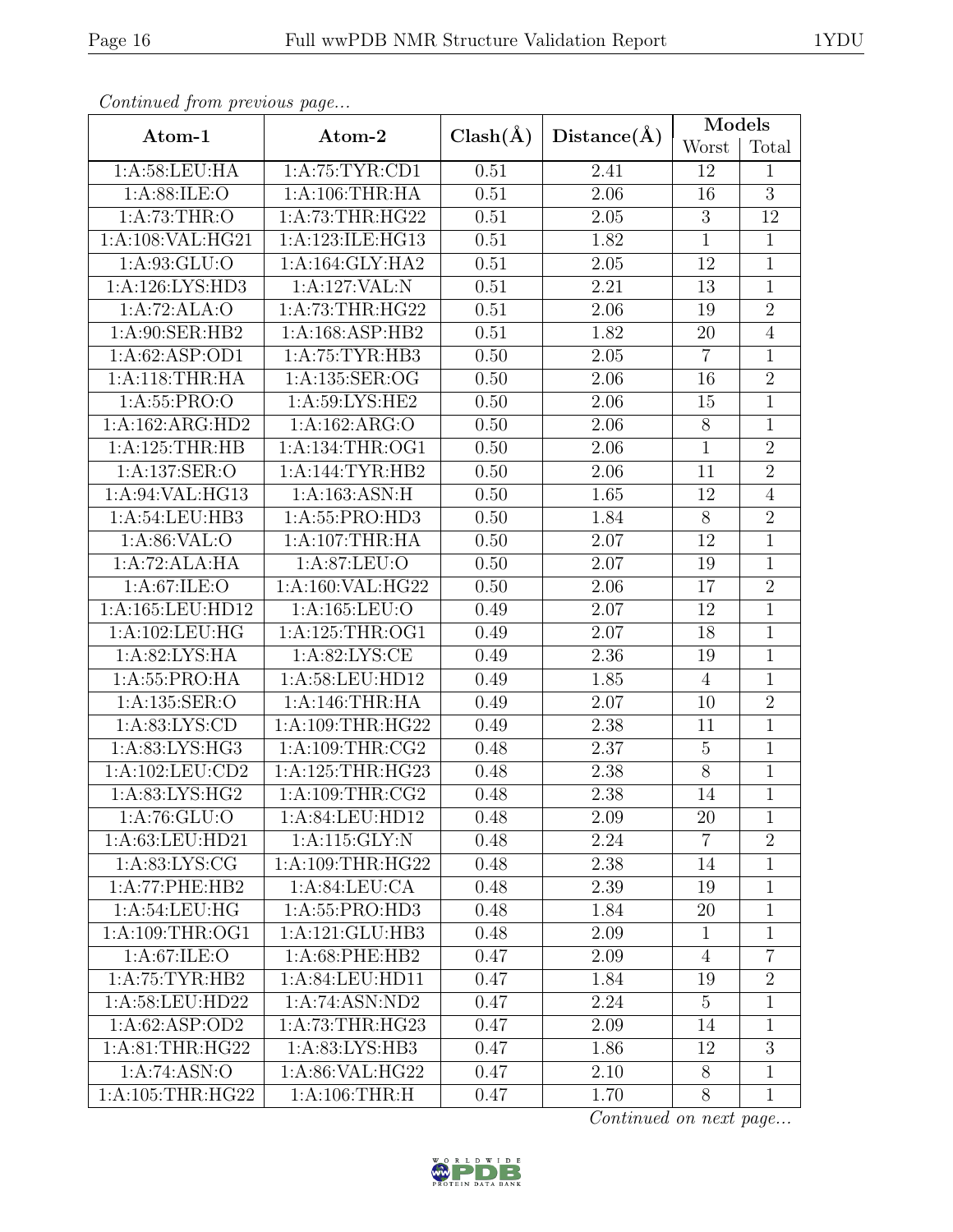|  | ۰. | ×<br>۰. |
|--|----|---------|
|  |    |         |

| Continuea from previous page          |                     |              |                   | Models         |                |
|---------------------------------------|---------------------|--------------|-------------------|----------------|----------------|
| Atom-1                                | Atom-2              | $Clash(\AA)$ | Distance(A)       | Worst          | Total          |
| 1: A:58:LEU:HA                        | 1: A:75:TYR:CD1     | 0.51         | 2.41              | 12             | 1              |
| 1:A:88:ILE:O                          | 1:A:106:THR:HA      | 0.51         | 2.06              | 16             | $\overline{3}$ |
| 1:A:73:THR:O                          | 1: A:73:THR:HG22    | 0.51         | 2.05              | $\sqrt{3}$     | 12             |
| 1:A:108:VAL:HG21                      | 1:A:123:ILE:HG13    | 0.51         | 1.82              | $\overline{1}$ | $\mathbf{1}$   |
| 1:A:93:GLU:O                          | 1: A:164: GLY:HA2   | 0.51         | 2.05              | 12             | $\mathbf 1$    |
| 1:A:126:LYS:HD3                       | 1:A:127:VAL:N       | 0.51         | 2.21              | 13             | 1              |
| 1:A:72:ALA:O                          | 1: A:73:THR:HG22    | 0.51         | 2.06              | 19             | $\overline{2}$ |
| 1:A:90:SER:HB2                        | 1:A:168:ASP:HB2     | 0.51         | 1.82              | 20             | $\overline{4}$ |
| 1:A:62:ASP:OD1                        | 1:A:75:TYR:HB3      | 0.50         | 2.05              | $\overline{7}$ | $\mathbf 1$    |
| 1: A:118:THR:HA                       | 1:A:135:SER:OG      | 0.50         | 2.06              | 16             | $\overline{2}$ |
| 1:A:55:PRO:O                          | 1:A:59:LYS:HE2      | 0.50         | 2.06              | 15             | 1              |
| 1:A:162:ARG:HD2                       | 1:A:162:ARG:O       | 0.50         | 2.06              | $8\,$          | 1              |
| 1:A:125:THR:HB                        | 1: A: 134: THR: OG1 | 0.50         | 2.06              | $\mathbf{1}$   | $\overline{2}$ |
| 1:A:137:SER:O                         | 1:A:144:TYR:HB2     | 0.50         | 2.06              | 11             | $\overline{2}$ |
| 1:A:94:VAL:HG13                       | 1:A:163:ASN:H       | 0.50         | 1.65              | 12             | $\overline{4}$ |
| 1: A:54:LEU:HB3                       | 1:A:55:PRO:HD3      | 0.50         | 1.84              | $8\,$          | $\overline{2}$ |
| 1:A:86:VAL:O                          | 1:A:107:THR:HA      | 0.50         | 2.07              | 12             | $\mathbf{1}$   |
| 1:A:72:ALA:HA                         | 1:A:87:LEU:O        | 0.50         | 2.07              | 19             | $\mathbf 1$    |
| 1: A:67: ILE: O                       | 1:A:160:VAL:HG22    | 0.50         | 2.06              | 17             | $\overline{2}$ |
| 1:A:165:LEU:HD12                      | 1:A:165:LEU:O       | 0.49         | 2.07              | 12             | 1              |
| 1:A:102:LEU:HG                        | 1: A:125:THR:OG1    | 0.49         | 2.07              | 18             | $\mathbf 1$    |
| 1: A:82: LYS: HA                      | 1: A:82: LYS: CE    | 0.49         | 2.36              | 19             | 1              |
| 1:A:55:PRO:HA                         | 1:A:58:LEU:HD12     | 0.49         | 1.85              | $\overline{4}$ | $\mathbf{1}$   |
| 1:A:135:SER:O                         | 1:A:146:THR:HA      | 0.49         | 2.07              | 10             | $\overline{2}$ |
| 1: A:83: LYS: CD                      | 1:A:109:THR:HG22    | 0.49         | 2.38              | 11             | 1              |
| 1:A:83:LYS:HG3                        | 1: A:109:THR:CG2    | 0.48         | 2.37              | $\overline{5}$ | 1              |
| $1:A:102:\overline{\textrm{LEU:CD2}}$ | 1:A:125:THR:HG23    | 0.48         | 2.38              | 8              | $\mathbf{1}$   |
| 1:A:83:LYS:HG2                        | 1:A:109:THR:CG2     | 0.48         | $\overline{2.38}$ | <sup>14</sup>  | $\mathbf 1$    |
| 1: A:76: GLU:O                        | 1:A:84:LEU:HD12     | 0.48         | 2.09              | 20             | 1              |
| 1: A:63:LEU:HD21                      | 1:A:115:GLY:N       | 0.48         | 2.24              | $\overline{7}$ | $\overline{2}$ |
| 1: A:83: LYS: CG                      | 1: A:109:THR:HG22   | 0.48         | 2.38              | 14             | 1              |
| 1:A:77:PHE:HB2                        | 1: A:84:LEU:CA      | 0.48         | 2.39              | 19             | 1              |
| 1: A:54:LEU:HG                        | 1:A:55:PRO:HD3      | 0.48         | 1.84              | 20             | 1              |
| 1: A:109:THR:OG1                      | 1:A:121:GLU:HB3     | 0.48         | 2.09              | $\mathbf 1$    | $\mathbf{1}$   |
| 1: A:67: ILE: O                       | $1: A:68:$ PHE:HB2  | 0.47         | 2.09              | $\overline{4}$ | $\overline{7}$ |
| 1:A:75:TYR:HB2                        | 1:A:84:LEU:HD11     | 0.47         | 1.84              | 19             | $\overline{2}$ |
| 1:A:58:LEU:HD22                       | 1:A:74:ASN:ND2      | 0.47         | 2.24              | $\overline{5}$ | 1              |
| 1:A:62:ASP:OD2                        | 1:A:73:THR:HG23     | 0.47         | 2.09              | 14             | $\mathbf{1}$   |
| 1: A:81:THR:HG22                      | 1:A:83:LYS:HB3      | 0.47         | 1.86              | 12             | 3              |
| 1:A:74:ASN:O                          | 1:A:86:VAL:HG22     | 0.47         | 2.10              | $8\,$          | 1              |
| 1: A:105:THR:HG22                     | 1: A:106:THR:H      | 0.47         | 1.70              | 8              | $\mathbf{1}$   |

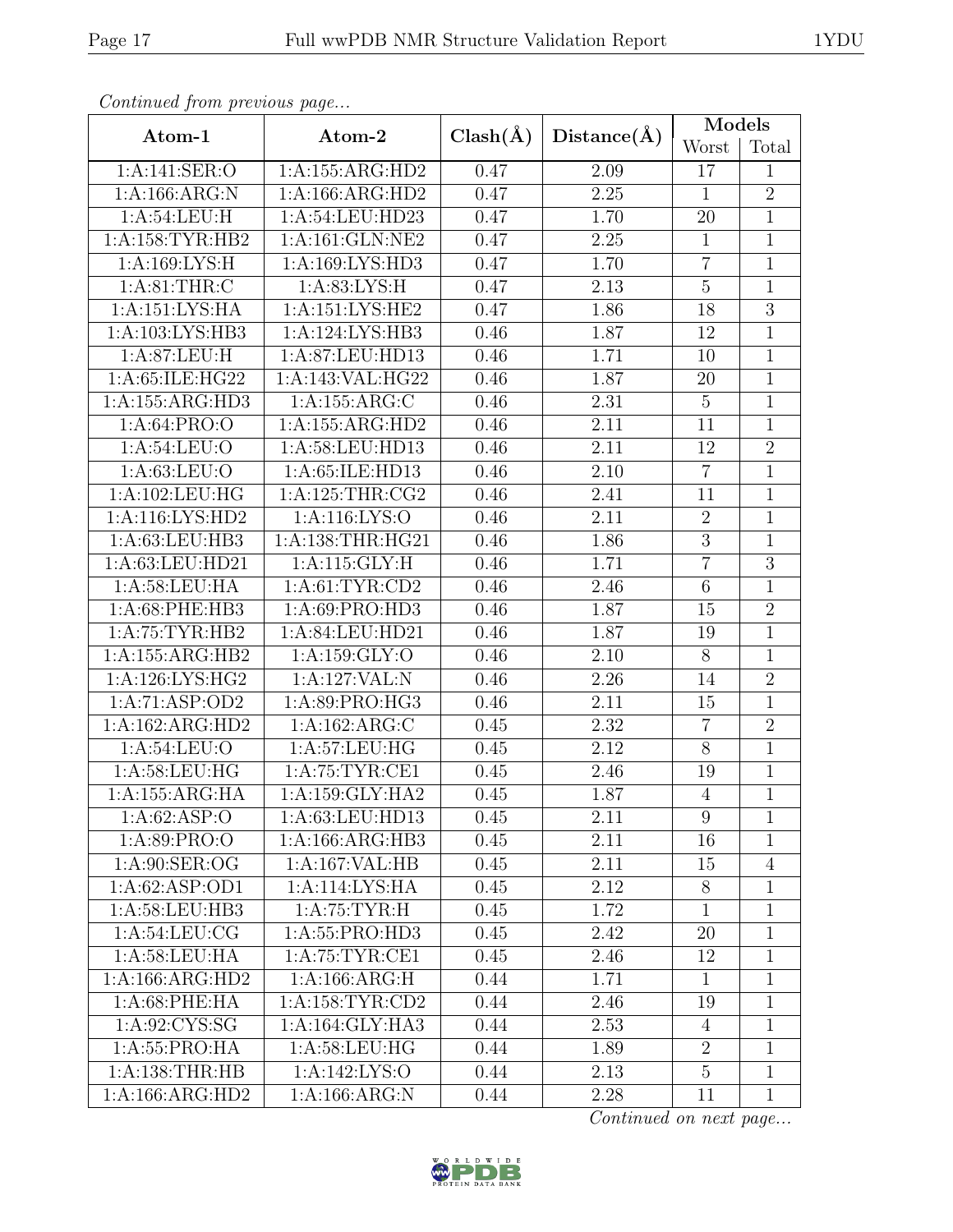|  | ۰. | ×<br>۰. |
|--|----|---------|
|  |    |         |

| Continuea from previous page |                                |              |                   | Models         |                |
|------------------------------|--------------------------------|--------------|-------------------|----------------|----------------|
| Atom-1                       | Atom-2                         | $Clash(\AA)$ | Distance(A)       | Worst          | Total          |
| 1:A:141:SER:O                | 1:A:155:ARG:HD2                | 0.47         | 2.09              | 17             | $\mathbf{1}$   |
| 1: A: 166: ARG: N            | 1:A:166:ARG:HD2                | 0.47         | 2.25              | $\mathbf{1}$   | $\overline{2}$ |
| 1: A:54:LEU:H                | 1:A:54:LEU:HD23                | 0.47         | 1.70              | 20             | $\mathbf 1$    |
| 1:A:158:TYR:HB2              | 1: A:161: GLN: NE2             | 0.47         | 2.25              | $\mathbf{1}$   | $\mathbf 1$    |
| 1: A: 169: LYS: H            | 1:A:169:LYS:HD3                | 0.47         | 1.70              | $\overline{7}$ | $\mathbf 1$    |
| 1: A:81:THR:C                | 1: A:83: LYS:H                 | 0.47         | $\overline{2.13}$ | $\overline{5}$ | $\overline{1}$ |
| 1:A:151:LYS:HA               | 1:A:151:LYS:HE2                | 0.47         | 1.86              | 18             | $\overline{3}$ |
| 1:A:103:LYS:HB3              | 1:A:124:LYS:HB3                | 0.46         | 1.87              | 12             | 1              |
| 1:A:87:LEU:H                 | 1:A:87:LEU:HD13                | 0.46         | 1.71              | 10             | 1              |
| 1:A:65:ILE:HG22              | 1:A:143:VAL:HG22               | 0.46         | 1.87              | 20             | $\mathbf{1}$   |
| 1:A:155:ARG:HD3              | 1:A:155:ARG:C                  | 0.46         | 2.31              | $5\,$          | $\mathbf 1$    |
| 1: A:64: PRO:O               | 1:A:155:ARG:HD2                | 0.46         | 2.11              | 11             | 1              |
| 1: A:54:LEU:O                | 1:A:58:LEU:HD13                | 0.46         | 2.11              | 12             | $\overline{2}$ |
| 1: A:63:LEU:O                | 1:A:65:ILE:HD13                | 0.46         | 2.10              | $\overline{7}$ | $\mathbf 1$    |
| 1:A:102:LEU:HG               | 1: A:125:THR:CG2               | 0.46         | $2.41\,$          | 11             | $\mathbf 1$    |
| 1:A:116:LYS:HD2              | 1:A:116:LYS:O                  | 0.46         | 2.11              | $\overline{2}$ | $\mathbf 1$    |
| 1: A:63:LEU:HB3              | 1: A:138:THR:HG21              | 0.46         | 1.86              | $\overline{3}$ | $\mathbf 1$    |
| 1:A:63:LEU:HD21              | 1:A:115:GLY:H                  | 0.46         | 1.71              | $\overline{7}$ | $\overline{3}$ |
| 1: A:58:LEU:HA               | 1: A:61:TYR:CD2                | 0.46         | 2.46              | $6\,$          | $\overline{1}$ |
| 1:A:68:PHE:HB3               | 1:A:69:PRO:HD3                 | 0.46         | 1.87              | 15             | $\overline{2}$ |
| 1:A:75:TYR:HB2               | $1: A:84: \overline{LEU:HD21}$ | 0.46         | 1.87              | 19             | $\mathbf{1}$   |
| 1:A:155:ARG:HB2              | 1:A:159:GLY:O                  | 0.46         | 2.10              | 8              | 1              |
| 1: A:126: LYS: HG2           | 1:A:127:VAL:N                  | 0.46         | 2.26              | 14             | $\overline{2}$ |
| 1:A:71:ASP:OD2               | 1:A:89:PRO:HG3                 | 0.46         | 2.11              | 15             | $\mathbf{1}$   |
| 1:A:162:ARG:HD2              | 1:A:162:ARG:C                  | 0.45         | 2.32              | $\overline{7}$ | $\overline{2}$ |
| 1:A:54:LEU:O                 | 1: A:57: LEU: HG               | 0.45         | 2.12              | $8\,$          | $\mathbf 1$    |
| 1:A:58:LEU:HG                | 1:A:75:TYR:CE1                 | 0.45         | 2.46              | 19             | $\mathbf{1}$   |
| 1:A:155:ARG:HA               | 1:A:159:GLY:HA2                | 0.45         | 1.87              | $\overline{4}$ | $\mathbf 1$    |
| 1:A:62:ASP:O                 | 1:A:63:LEU:HD13                | 0.45         | 2.11              | 9              | 1              |
| 1: A:89: PRO:O               | 1:A:166:ARG:HB3                | 0.45         | 2.11              | 16             | 1              |
| 1: A:90: SER:OG              | 1:A:167:VAL:HB                 | 0.45         | 2.11              | 15             | $\overline{4}$ |
| 1: A:62: ASP:OD1             | 1:A:114:LYS:HA                 | 0.45         | 2.12              | 8              | 1              |
| 1:A:58:LEU:HB3               | 1: A:75:TYR:H                  | 0.45         | 1.72              | $\mathbf{1}$   | 1              |
| 1:A:54:LEU:CG                | 1: A: 55: PRO: HD3             | 0.45         | 2.42              | 20             | $\mathbf 1$    |
| 1: A:58:LEU:HA               | 1:A:75:TYR:CE1                 | 0.45         | 2.46              | 12             | 1              |
| 1:A:166:ARG:HD2              | 1: A: 166: ARG: H              | 0.44         | 1.71              | $\mathbf{1}$   | 1              |
| $1: A:68:$ PHE:HA            | 1: A: 158: TYR: CD2            | 0.44         | 2.46              | 19             | 1              |
| 1: A:92: CYS:SG              | 1: A:164: GLY: HA3             | 0.44         | 2.53              | $\overline{4}$ | $\mathbf{1}$   |
| 1: A: 55: PRO: HA            | 1: A:58:LEU:HG                 | 0.44         | 1.89              | $\overline{2}$ | $\mathbf{1}$   |
| 1: A: 138: THR: HB           | 1:A:142:LYS:O                  | 0.44         | 2.13              | $\overline{5}$ | $\mathbf{1}$   |
| 1:A:166:ARG:HD2              | 1: A: 166: ARG: N              | 0.44         | 2.28              | 11             | $\mathbf{1}$   |

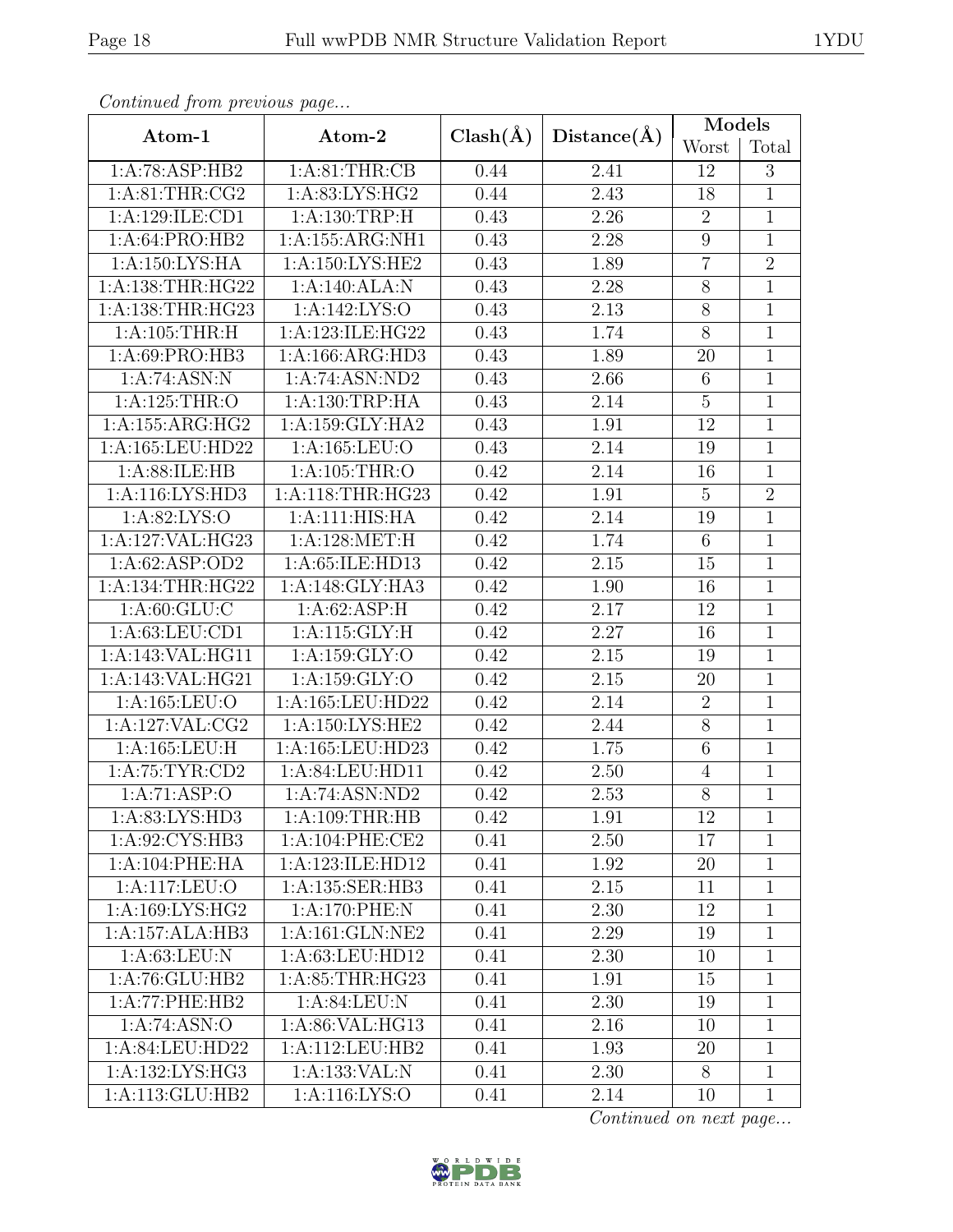|  | ۰. | ×<br>۰. |
|--|----|---------|
|  |    |         |

| Continuea from previous page         |                                       |              |                   | Models          |                |
|--------------------------------------|---------------------------------------|--------------|-------------------|-----------------|----------------|
| Atom-1                               | Atom-2                                | $Clash(\AA)$ | Distance(A)       | Worst           | Total          |
| 1:A:78:ASP:HB2                       | 1: A:81:THR:CB                        | 0.44         | 2.41              | 12              | 3              |
| 1: A:81:THR:CG2                      | 1:A:83:LYS:HG2                        | 0.44         | 2.43              | 18              | $\mathbf{1}$   |
| 1:A:129:ILE:CD1                      | 1:A:130:TRP:H                         | 0.43         | 2.26              | $\overline{2}$  | $\mathbf{1}$   |
| 1: A:64: PRO:HB2                     | $1:A:155:A\overline{\mathrm{RG:NH1}}$ | 0.43         | 2.28              | $\overline{9}$  | $\mathbf{1}$   |
| 1:A:150:LYS:HA                       | 1:A:150:LYS:HE2                       | 0.43         | 1.89              | $\overline{7}$  | $\overline{2}$ |
| 1:A:138:THR:HG22                     | 1:A:140:ALA:N                         | 0.43         | 2.28              | 8               | 1              |
| 1:A:138:THR:HG23                     | 1:A:142:LYS:O                         | 0.43         | 2.13              | $8\,$           | $\mathbf 1$    |
| 1: A: 105: THR:H                     | 1:A:123:ILE:HG22                      | 0.43         | 1.74              | 8               | 1              |
| 1:A:69:PRO:HB3                       | 1:A:166:ARG:HD3                       | 0.43         | 1.89              | 20              | $\mathbf 1$    |
| 1:A:74:ASN:N                         | 1:A:74:ASN:ND2                        | 0.43         | 2.66              | $6\phantom{.}6$ | $\mathbf 1$    |
| 1:A:125:THR:O                        | 1:A:130:TRP:HA                        | 0.43         | $\overline{2}.14$ | $\overline{5}$  | $\mathbf 1$    |
| 1:A:155:ARG:HG2                      | 1:A:159:GLY:HA2                       | 0.43         | 1.91              | 12              | 1              |
| 1:A:165:LEU:HD22                     | 1:A:165:LEU:O                         | 0.43         | $2.14\,$          | 19              | $\mathbf 1$    |
| 1:A:88:ILE:HB                        | 1:A:105:THR:O                         | 0.42         | 2.14              | 16              | 1              |
| 1: A:116: LYS: HD3                   | 1: A:118:THR:HG23                     | 0.42         | 1.91              | $\overline{5}$  | $\overline{2}$ |
| 1: A:82: LYS:O                       | 1:A:111:HIS:HA                        | 0.42         | 2.14              | 19              | 1              |
| 1:A:127:VAL:HG23                     | 1:A:128:MET:H                         | 0.42         | 1.74              | 6               | $\mathbf{1}$   |
| 1:A:62:ASP:OD2                       | 1:A:65:ILE:HD13                       | 0.42         | 2.15              | 15              | $\mathbf 1$    |
| 1:A:134:THR:HG22                     | 1:A:148:GLY:HA3                       | 0.42         | 1.90              | 16              | $\mathbf{1}$   |
| 1: A:60: GLU:C                       | 1: A:62: ASP:H                        | 0.42         | 2.17              | 12              | $\mathbf 1$    |
| 1: A:63:LEU:CD1                      | 1:A:115:GLY:H                         | 0.42         | 2.27              | 16              | $\mathbf 1$    |
| 1:A:143:VAL:HG11                     | 1:A:159:GLY:O                         | 0.42         | 2.15              | 19              | 1              |
| 1:A:143:VAL:HG21                     | 1:A:159:GLY:O                         | 0.42         | 2.15              | 20              | $\overline{1}$ |
| 1:A:165:LEU:O                        | 1:A:165:LEU:HD22                      | 0.42         | 2.14              | $\overline{2}$  | $\mathbf 1$    |
| 1:A:127:VAL:CG2                      | 1: A:150: LYS: HE2                    | 0.42         | 2.44              | $8\,$           | $\mathbf{1}$   |
| $1: A: 165: \overline{\text{LEU:H}}$ | 1:A:165:LEU:HD23                      | 0.42         | 1.75              | $\,6$           | 1              |
| 1:A:75:TYR:CD2                       | 1:A:84:LEU:HD11                       | 0.42         | 2.50              | $\overline{4}$  | $\mathbf{1}$   |
| 1:A:71:ASP:O                         | 1:A:74:ASN:ND2                        | 0.42         | 2.53              | $\overline{8}$  | 1              |
| 1:A:83:LYS:HD3                       | 1: A:109:THR:HB                       | 0.42         | 1.91              | 12              | 1              |
| 1:A:92:CYS:HB3                       | 1:A:104:PHE:CE2                       | 0.41         | 2.50              | 17              | 1              |
| $1:A:104:$ PHE:HA                    | 1:A:123:ILE:HD12                      | 0.41         | 1.92              | 20              | 1              |
| 1:A:117:LEU:O                        | 1:A:135:SER:HB3                       | 0.41         | 2.15              | 11              | 1              |
| 1: A: 169: LYS: HG2                  | 1: A:170: PHE: N                      | 0.41         | 2.30              | 12              | 1              |
| $1:A:157:ALA:H\overline{B3}$         | 1: A:161: GLN:NE2                     | 0.41         | 2.29              | 19              | 1              |
| 1: A:63:LEU: N                       | 1:A:63:LEU:HD12                       | 0.41         | 2.30              | 10              | 1              |
| 1:A:76:GLU:HB2                       | 1:A:85:THR:HG23                       | 0.41         | 1.91              | 15              | 1              |
| 1:A:77:PHE:HB2                       | 1: A:84:LEU: N                        | 0.41         | 2.30              | 19              | 1              |
| 1:A:74:ASN:O                         | 1:A:86:VAL:HG13                       | 0.41         | 2.16              | 10              | $\mathbf{1}$   |
| 1: A:84: LEU:HD22                    | 1:A:112:LEU:HB2                       | 0.41         | 1.93              | 20              | 1              |
| 1: A: 132: LYS: HG3                  | 1:A:133:VAL:N                         | 0.41         | 2.30              | $8\,$           | $\mathbf{1}$   |
| 1:A:113:GLU:HB2                      | 1:A:116:LYS:O                         | 0.41         | 2.14              | 10              | $\mathbf{1}$   |

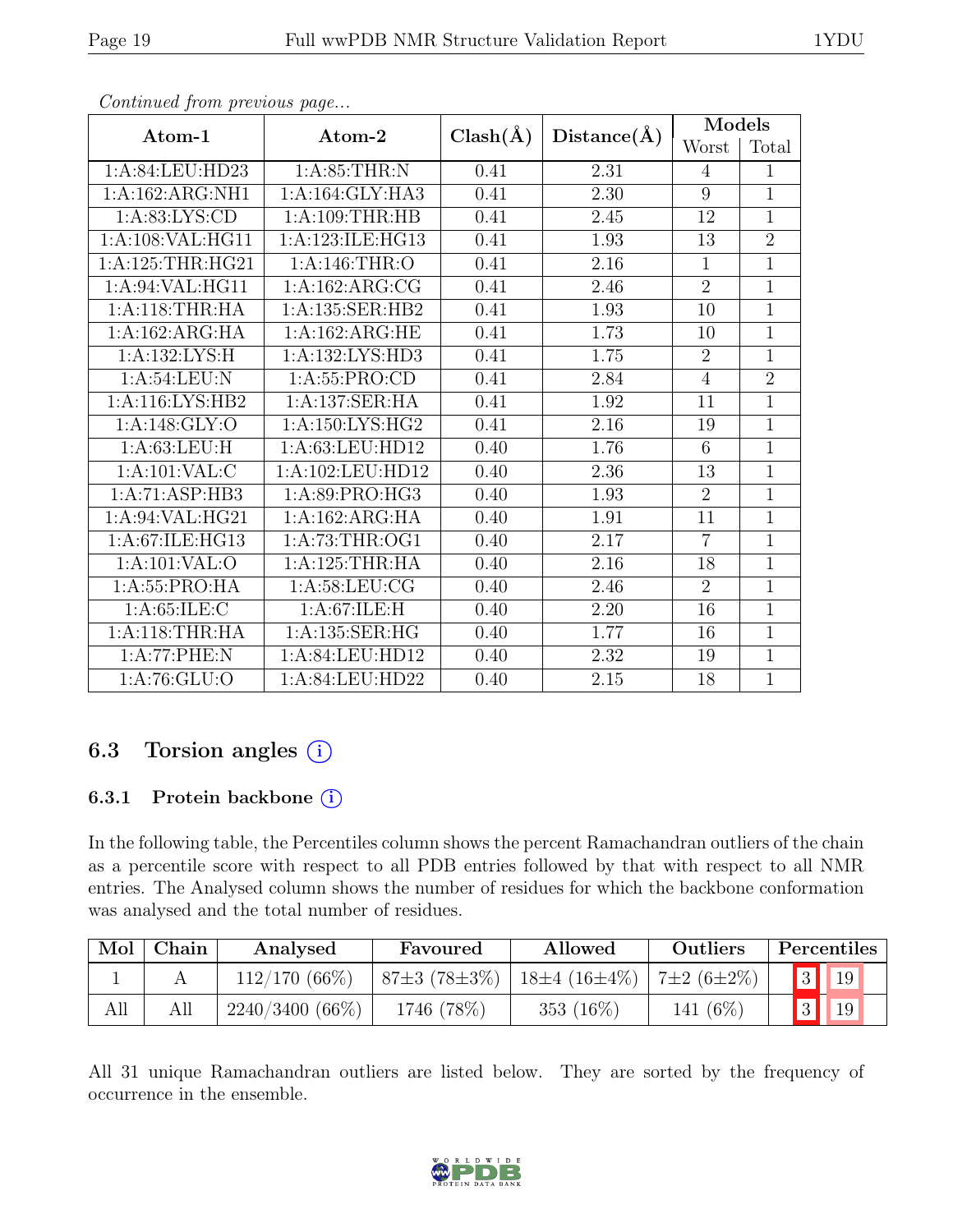| Atom-1                    | Atom-2              | $Clash(\AA)$<br>Distance(A) |                   | Models         |                |
|---------------------------|---------------------|-----------------------------|-------------------|----------------|----------------|
|                           |                     |                             |                   | Worst          | Total          |
| 1:A:84:LEU:HD23           | 1: A:85:THR:N       | 0.41                        | 2.31              | 4              | 1              |
| 1:A:162:ARG:NH1           | 1:A:164:GLY:HA3     | 0.41                        | 2.30              | 9              | $\mathbf{1}$   |
| 1: A:83: LYS: CD          | 1: A:109:THR:HB     | 0.41                        | 2.45              | 12             | $\overline{1}$ |
| 1:A:108:VAL:HG11          | 1:A:123:ILE:HG13    | 0.41                        | 1.93              | 13             | $\overline{2}$ |
| 1:A:125:THR:HG21          | 1:A:146:THR:O       | 0.41                        | 2.16              | $\mathbf{1}$   | $\overline{1}$ |
| 1:A:94:VAL:HG11           | 1: A:162:ARG:CG     | 0.41                        | 2.46              | $\overline{2}$ | 1              |
| 1: A:118:THR:HA           | 1:A:135:SER:HB2     | 0.41                        | 1.93              | 10             | $\mathbf{1}$   |
| 1:A:162:ARG:HA            | 1: A: 162: ARG: HE  | 0.41                        | 1.73              | 10             | $\mathbf{1}$   |
| 1:A:132:LYS:H             | 1:A:132:LYS:HD3     | 0.41                        | 1.75              | $\overline{2}$ | $\overline{1}$ |
| 1: A:54:LEU: N            | 1:A:55:PRO:CD       | 0.41                        | 2.84              | $\overline{4}$ | $\overline{2}$ |
| 1:A:116:LYS:HB2           | 1:A:137:SER:HA      | 0.41                        | 1.92              | 11             | $\mathbf{1}$   |
| 1:A:148:GLY:O             | 1: A: 150: LYS: HG2 | 0.41                        | 2.16              | 19             | $\mathbf{1}$   |
| 1: A:63:LEU:H             | 1: A: 63: LEU: HD12 | 0.40                        | 1.76              | 6              | $\overline{1}$ |
| 1: A: 101: VAL: C         | 1:A:102:LEU:HD12    | 0.40                        | 2.36              | 13             | $\mathbf{1}$   |
| 1:A:71:ASP:HB3            | 1:A:89:PRO:HG3      | 0.40                        | 1.93              | $\overline{2}$ | 1              |
| 1:A:94:VAL:HG21           | 1:A:162:ARG:HA      | 0.40                        | 1.91              | 11             | 1              |
| 1:A:67:ILE:HG13           | 1:A:73:THR:OG1      | 0.40                        | 2.17              | $\overline{7}$ | $\overline{1}$ |
| 1:A:101:VAL:O             | 1:A:125:THR:HA      | 0.40                        | 2.16              | 18             | $\mathbf 1$    |
| 1:A:55:PRO:HA             | 1: A:58: LEU: CG    | 0.40                        | 2.46              | $\overline{2}$ | $\mathbf{1}$   |
| 1: A:65: ILE:C            | 1: A:67: ILE:H      | 0.40                        | $2.20\,$          | 16             | $\mathbf 1$    |
| 1: A:118:THR:HA           | 1:A:135:SER:HG      | 0.40                        | 1.77              | 16             | $\mathbf{1}$   |
| 1:A:77:PHE:N              | 1:A:84:LEU:HD12     | 0.40                        | 2.32              | 19             | $\mathbf{1}$   |
| $1:A:76:\overline{GLU:O}$ | 1:A:84:LEU:HD22     | 0.40                        | $\overline{2.15}$ | 18             | $\overline{1}$ |

# 6.3 Torsion angles  $(i)$

#### 6.3.1 Protein backbone (i)

In the following table, the Percentiles column shows the percent Ramachandran outliers of the chain as a percentile score with respect to all PDB entries followed by that with respect to all NMR entries. The Analysed column shows the number of residues for which the backbone conformation was analysed and the total number of residues.

| Mol | Chain | Analysed          | Favoured                                            | Allowed      | Outliers    |                          | Percentiles              |
|-----|-------|-------------------|-----------------------------------------------------|--------------|-------------|--------------------------|--------------------------|
|     |       | $112/170(66\%)$   | $ 87\pm3(78\pm3\%) 18\pm4(16\pm4\%) 7\pm2(6\pm2\%)$ |              |             |                          | $\boxed{3}$ $\boxed{19}$ |
| All |       | $2240/3400(66\%)$ | 1746 (78%)                                          | 353 $(16\%)$ | 141 $(6\%)$ | $\vert 3 \vert \vert 19$ |                          |

All 31 unique Ramachandran outliers are listed below. They are sorted by the frequency of occurrence in the ensemble.

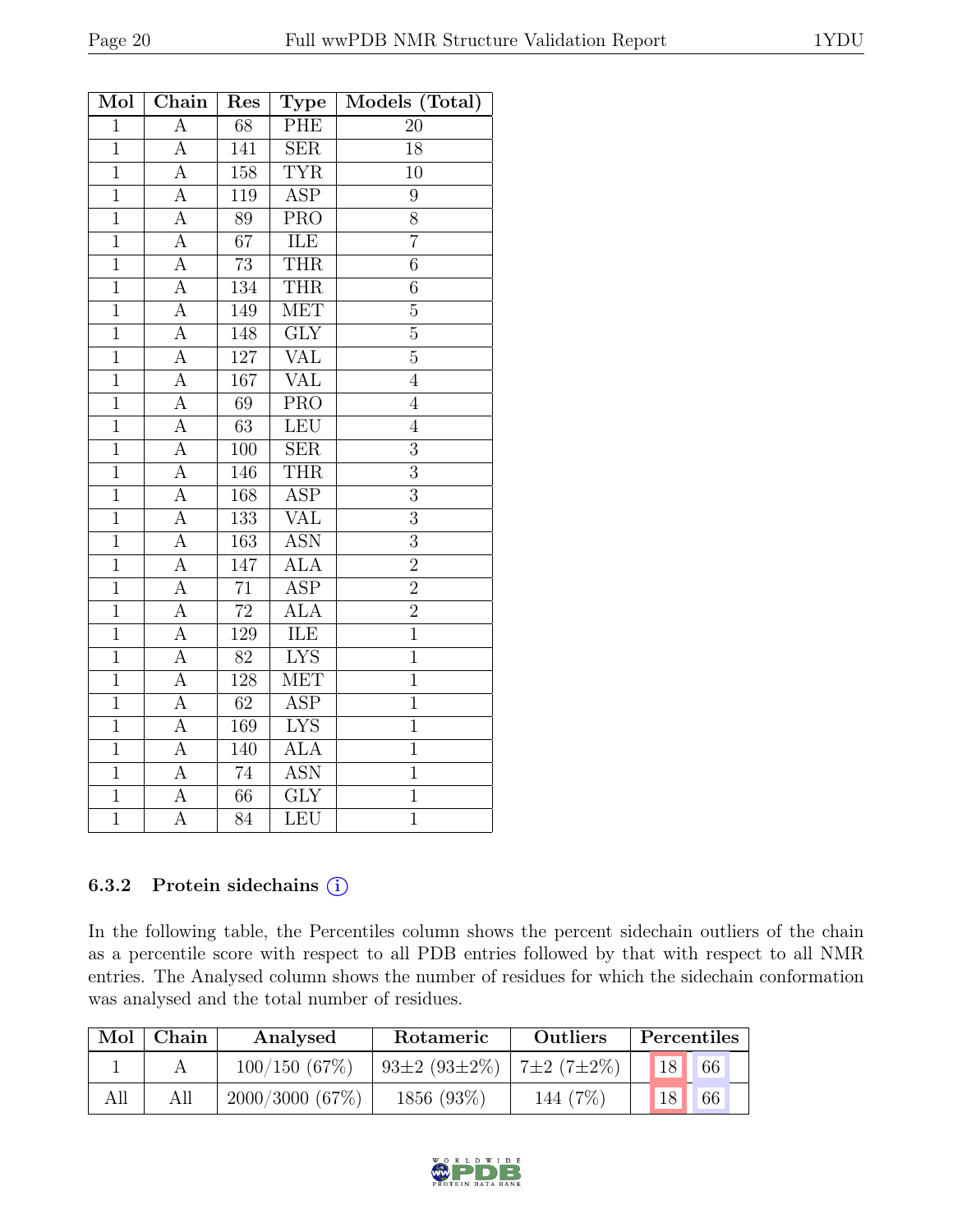| Mol            | Chain              | Res              | <b>Type</b>             | Models (Total)   |
|----------------|--------------------|------------------|-------------------------|------------------|
| $\overline{1}$ | $\mathbf{A}$       | 68               | <b>PHE</b>              | 20               |
| $\overline{1}$ | $\overline{A}$     | 141              | $\overline{\text{SER}}$ | 18               |
| $\mathbf{1}$   | А                  | 158              | <b>TYR</b>              | 10               |
| $\overline{1}$ | $\overline{A}$     | $\overline{119}$ | <b>ASP</b>              | $\boldsymbol{9}$ |
| $\mathbf{1}$   | А                  | 89               | $\overline{\text{PRO}}$ | $\overline{8}$   |
| $\overline{1}$ | $\overline{\rm A}$ | $\overline{67}$  | $\overline{\text{ILE}}$ | $\overline{7}$   |
| $\overline{1}$ | А                  | $\overline{73}$  | <b>THR</b>              | $\overline{6}$   |
| $\mathbf{1}$   | А                  | 134              | <b>THR</b>              | 6                |
| $\overline{1}$ | $\overline{A}$     | 149              | <b>MET</b>              | $\overline{5}$   |
| $\overline{1}$ | A                  | 148              | $\overline{\text{GLY}}$ | $\overline{5}$   |
| $\overline{1}$ | $\overline{A}$     | $\overline{127}$ | VAL                     | $\overline{5}$   |
| $\overline{1}$ | $\overline{\rm A}$ | 167              | <b>VAL</b>              | $\overline{4}$   |
| $\mathbf{1}$   | A                  | 69               | <b>PRO</b>              | $\overline{4}$   |
| $\overline{1}$ | $\overline{A}$     | 63               | LEU                     | $\overline{4}$   |
| $\overline{1}$ | $\overline{A}$     | 100              | $\overline{\text{SER}}$ | $\overline{3}$   |
| $\mathbf 1$    | A                  | 146              | <b>THR</b>              | $\overline{3}$   |
| $\overline{1}$ | $\overline{\rm A}$ | 168              | <b>ASP</b>              | $\overline{3}$   |
| $\overline{1}$ | $\overline{\rm A}$ | $\overline{133}$ | <b>VAL</b>              | $\overline{3}$   |
| $\overline{1}$ | A                  | 163              | <b>ASN</b>              | $\overline{3}$   |
| $\mathbf{1}$   | $\overline{A}$     | 147              | <b>ALA</b>              | $\overline{2}$   |
| $\overline{1}$ | $\overline{\rm A}$ | $\overline{71}$  | $\overline{\text{ASP}}$ | $\overline{2}$   |
| $\overline{1}$ | A                  | $\overline{72}$  | <b>ALA</b>              | $\overline{2}$   |
| $\overline{1}$ | $\overline{A}$     | 129              | <b>ILE</b>              | $\overline{1}$   |
| $\overline{1}$ | A                  | $\overline{82}$  | <b>LYS</b>              | $\overline{1}$   |
| $\overline{1}$ | A                  | 128              | <b>MET</b>              | $\mathbf{1}$     |
| $\mathbf{1}$   | A                  | 62               | <b>ASP</b>              | $\mathbf 1$      |
| $\overline{1}$ | $\overline{\rm A}$ | 169              | $\overline{\text{LYS}}$ | $\overline{1}$   |
| $\overline{1}$ | $\overline{A}$     | 140              | <b>ALA</b>              | $\overline{1}$   |
| $\mathbf{1}$   | A                  | 74               | <b>ASN</b>              | $\mathbf{1}$     |
| $\overline{1}$ | $\overline{A}$     | $\overline{66}$  | $\overline{\text{GLY}}$ | $\overline{1}$   |
| $\overline{1}$ | A                  | 84               | LEU                     | $\overline{1}$   |

#### 6.3.2 Protein sidechains (i)

In the following table, the Percentiles column shows the percent sidechain outliers of the chain as a percentile score with respect to all PDB entries followed by that with respect to all NMR entries. The Analysed column shows the number of residues for which the sidechain conformation was analysed and the total number of residues.

| Mol | Chain | Analysed       | Rotameric                   | <b>Outliers</b> |  | Percentiles |             |  |
|-----|-------|----------------|-----------------------------|-----------------|--|-------------|-------------|--|
|     |       | 100/150(67%)   | 93±2 (93±2\%)   7±2 (7±2\%) |                 |  | 18          | $\sqrt{66}$ |  |
| All |       | 2000/3000(67%) | $1856(93\%)$                | 144 (7%)        |  |             | 66          |  |

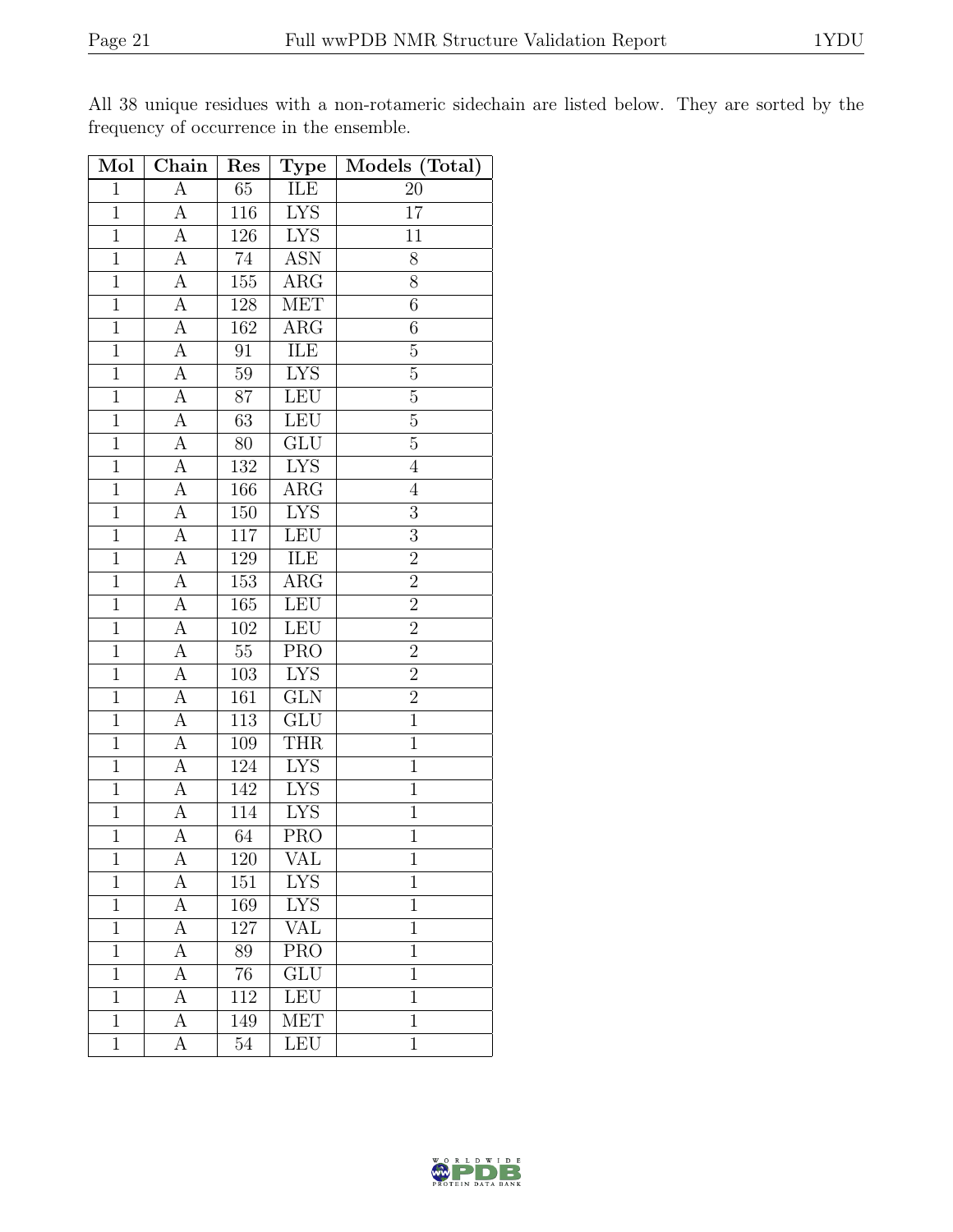| Mol            | Chain                   | Res              | <b>Type</b>             | Models (Total) |
|----------------|-------------------------|------------------|-------------------------|----------------|
| $\mathbf{1}$   | $\overline{A}$          | 65               | <b>ILE</b>              | 20             |
| $\mathbf{1}$   | $\overline{A}$          | 116              | <b>LYS</b>              | 17             |
| $\overline{1}$ | $\overline{A}$          | 126              | I <sub>YS</sub>         | 11             |
| $\mathbf{1}$   | A                       | 74               | <b>ASN</b>              | 8              |
| $\mathbf{1}$   | $\overline{A}$          | 155              | $\overline{\text{ARG}}$ | 8              |
| $\mathbf{1}$   | A                       | $128\,$          | <b>MET</b>              | $\overline{6}$ |
| $\overline{1}$ | $\overline{A}$          | 162              | $\overline{\rm{ARG}}$   | $\overline{6}$ |
| $\overline{1}$ | $\overline{A}$          | 91               | ILE                     | $\overline{5}$ |
| $\mathbf{1}$   | $\overline{\mathbf{A}}$ | 59               | <b>LYS</b>              | $\overline{5}$ |
| $\overline{1}$ | $\overline{\rm A}$      | $\overline{87}$  | LEU                     | $\overline{5}$ |
| $\mathbf{1}$   | A                       | 63               | LEU                     | $\overline{5}$ |
| $\overline{1}$ | $\overline{A}$          | 80               | GLU                     | $\overline{5}$ |
| $\overline{1}$ | А                       | 132              | <b>LYS</b>              | $\overline{4}$ |
| $\overline{1}$ | A                       | 166              | $\rm{ARG}$              | $\overline{4}$ |
| $\mathbf{1}$   | A                       | 150              | <b>LYS</b>              | $\overline{3}$ |
| $\overline{1}$ | А                       | 117              | LEU                     | $\overline{3}$ |
| $\overline{1}$ | $\overline{A}$          | 129              | ILE                     | $\overline{2}$ |
| $\mathbf{1}$   | A                       | 153              | $\rm{ARG}$              | $\overline{2}$ |
| $\mathbf{1}$   | А                       | 165              | LEU                     | $\overline{2}$ |
| $\mathbf{1}$   | $\overline{A}$          | 102              | LEU                     | $\overline{2}$ |
| $\overline{1}$ | $\overline{\mathbf{A}}$ | $\overline{55}$  | <b>PRO</b>              | $\overline{2}$ |
| $\overline{1}$ | $\overline{A}$          | $\overline{103}$ | <b>LYS</b>              | $\overline{2}$ |
| $\mathbf{1}$   | А                       | 161              | <b>GLN</b>              | $\overline{c}$ |
| $\mathbf{1}$   | $\overline{A}$          | 113              | GLU                     | $\overline{1}$ |
| $\overline{1}$ | $\overline{A}$          | 109              | <b>THR</b>              | $\overline{1}$ |
| $\overline{1}$ | $\overline{A}$          | 124              | <b>LYS</b>              | $\mathbf{1}$   |
| $\overline{1}$ | А                       | 142              | <b>LYS</b>              | $\overline{1}$ |
| $\mathbf 1$    | A                       | 114              | <b>LYS</b>              | $\mathbf{1}$   |
| $\overline{1}$ | $\overline{\rm A}$      | $\overline{64}$  | $\overline{\text{PRO}}$ | $\overline{1}$ |
| 1              | А                       | 120              | VAL                     | 1              |
| $\overline{1}$ | A                       | $151\,$          | <b>LYS</b>              | $\mathbf{1}$   |
| $\mathbf{1}$   | А                       | 169              | <b>LYS</b>              | $\mathbf{1}$   |
| $\mathbf{1}$   | А                       | 127              | <b>VAL</b>              | $\mathbf{1}$   |
| $\mathbf 1$    | А                       | 89               | <b>PRO</b>              | $\mathbf 1$    |
| $\mathbf 1$    | А                       | 76               | ${\rm GLU}$             | $\mathbf{1}$   |
| $\mathbf{1}$   | А                       | 112              | <b>LEU</b>              | $\mathbf 1$    |
| $\mathbf 1$    | А                       | 149              | <b>MET</b>              | $\mathbf 1$    |
| $\mathbf{1}$   | А                       | 54               | <b>LEU</b>              | $\mathbf 1$    |

All 38 unique residues with a non-rotameric sidechain are listed below. They are sorted by the frequency of occurrence in the ensemble.

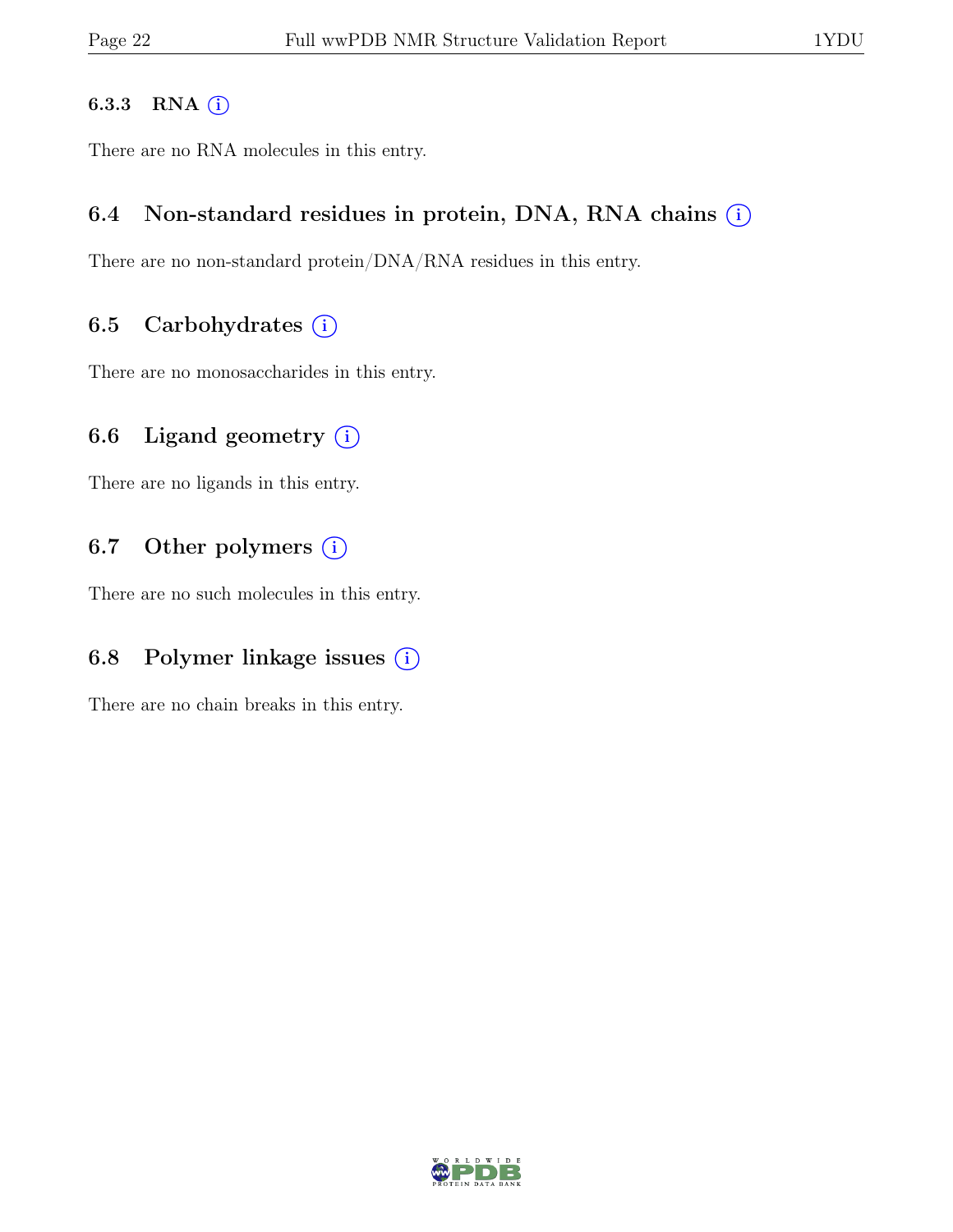#### 6.3.3 RNA  $(i)$

There are no RNA molecules in this entry.

## 6.4 Non-standard residues in protein, DNA, RNA chains  $(i)$

There are no non-standard protein/DNA/RNA residues in this entry.

## 6.5 Carbohydrates  $(i)$

There are no monosaccharides in this entry.

# 6.6 Ligand geometry  $(i)$

There are no ligands in this entry.

## 6.7 Other polymers  $(i)$

There are no such molecules in this entry.

# 6.8 Polymer linkage issues  $(i)$

There are no chain breaks in this entry.